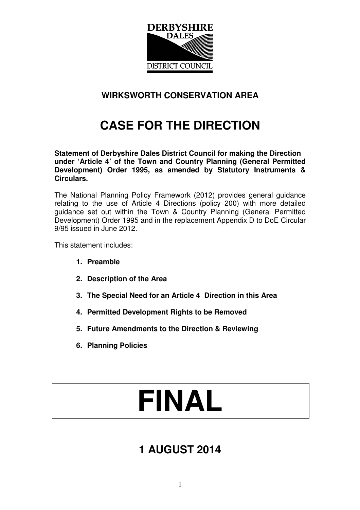

## **WIRKSWORTH CONSERVATION AREA**

# **CASE FOR THE DIRECTION**

**Statement of Derbyshire Dales District Council for making the Direction under 'Article 4' of the Town and Country Planning (General Permitted Development) Order 1995, as amended by Statutory Instruments & Circulars.** 

The National Planning Policy Framework (2012) provides general guidance relating to the use of Article 4 Directions (policy 200) with more detailed guidance set out within the Town & Country Planning (General Permitted Development) Order 1995 and in the replacement Appendix D to DoE Circular 9/95 issued in June 2012.

This statement includes:

- **1. Preamble**
- **2. Description of the Area**
- **3. The Special Need for an Article 4 Direction in this Area**
- **4. Permitted Development Rights to be Removed**
- **5. Future Amendments to the Direction & Reviewing**
- **6. Planning Policies**

# **FINAL**

## **1 AUGUST 2014**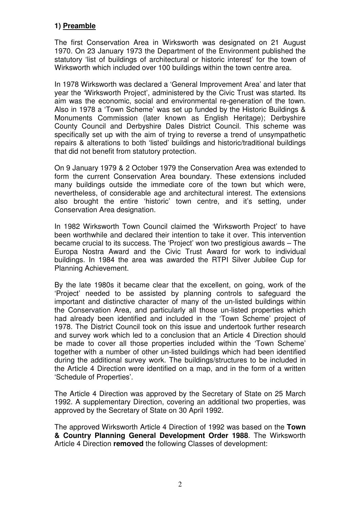#### **1) Preamble**

The first Conservation Area in Wirksworth was designated on 21 August 1970. On 23 January 1973 the Department of the Environment published the statutory 'list of buildings of architectural or historic interest' for the town of Wirksworth which included over 100 buildings within the town centre area.

In 1978 Wirksworth was declared a 'General Improvement Area' and later that year the 'Wirksworth Project', administered by the Civic Trust was started. Its aim was the economic, social and environmental re-generation of the town. Also in 1978 a 'Town Scheme' was set up funded by the Historic Buildings & Monuments Commission (later known as English Heritage); Derbyshire County Council and Derbyshire Dales District Council. This scheme was specifically set up with the aim of trying to reverse a trend of unsympathetic repairs & alterations to both 'listed' buildings and historic/traditional buildings that did not benefit from statutory protection.

On 9 January 1979 & 2 October 1979 the Conservation Area was extended to form the current Conservation Area boundary. These extensions included many buildings outside the immediate core of the town but which were, nevertheless, of considerable age and architectural interest. The extensions also brought the entire 'historic' town centre, and it's setting, under Conservation Area designation.

In 1982 Wirksworth Town Council claimed the 'Wirksworth Project' to have been worthwhile and declared their intention to take it over. This intervention became crucial to its success. The 'Project' won two prestigious awards – The Europa Nostra Award and the Civic Trust Award for work to individual buildings. In 1984 the area was awarded the RTPI Silver Jubilee Cup for Planning Achievement.

By the late 1980s it became clear that the excellent, on going, work of the 'Project' needed to be assisted by planning controls to safeguard the important and distinctive character of many of the un-listed buildings within the Conservation Area, and particularly all those un-listed properties which had already been identified and included in the 'Town Scheme' project of 1978. The District Council took on this issue and undertook further research and survey work which led to a conclusion that an Article 4 Direction should be made to cover all those properties included within the 'Town Scheme' together with a number of other un-listed buildings which had been identified during the additional survey work. The buildings/structures to be included in the Article 4 Direction were identified on a map, and in the form of a written 'Schedule of Properties'.

The Article 4 Direction was approved by the Secretary of State on 25 March 1992. A supplementary Direction, covering an additional two properties, was approved by the Secretary of State on 30 April 1992.

The approved Wirksworth Article 4 Direction of 1992 was based on the **Town & Country Planning General Development Order 1988**. The Wirksworth Article 4 Direction **removed** the following Classes of development: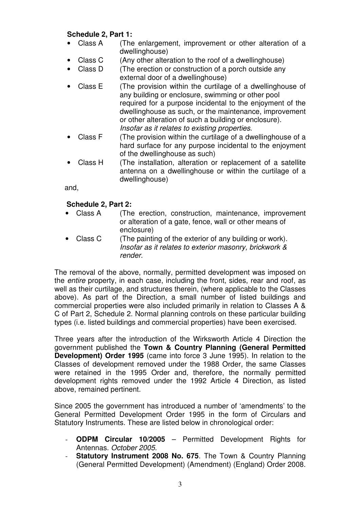#### **Schedule 2, Part 1:**

- Class A (The enlargement, improvement or other alteration of a dwellinghouse)
- Class C (Any other alteration to the roof of a dwellinghouse)
- Class D (The erection or construction of a porch outside any external door of a dwellinghouse)
- Class E (The provision within the curtilage of a dwellinghouse of any building or enclosure, swimming or other pool required for a purpose incidental to the enjoyment of the dwellinghouse as such, or the maintenance, improvement or other alteration of such a building or enclosure). Insofar as it relates to existing properties.
- Class F (The provision within the curtilage of a dwellinghouse of a hard surface for any purpose incidental to the enjoyment of the dwellinghouse as such)
- Class H (The installation, alteration or replacement of a satellite antenna on a dwellinghouse or within the curtilage of a dwellinghouse)

and,

#### **Schedule 2, Part 2:**

- Class A (The erection, construction, maintenance, improvement or alteration of a gate, fence, wall or other means of enclosure)
- Class C (The painting of the exterior of any building or work). Insofar as it relates to exterior masonry, brickwork & render.

The removal of the above, normally, permitted development was imposed on the entire property, in each case, including the front, sides, rear and roof, as well as their curtilage, and structures therein, (where applicable to the Classes above). As part of the Direction, a small number of listed buildings and commercial properties were also included primarily in relation to Classes A & C of Part 2, Schedule 2. Normal planning controls on these particular building types (i.e. listed buildings and commercial properties) have been exercised.

Three years after the introduction of the Wirksworth Article 4 Direction the government published the **Town & Country Planning (General Permitted Development) Order 1995** (came into force 3 June 1995). In relation to the Classes of development removed under the 1988 Order, the same Classes were retained in the 1995 Order and, therefore, the normally permitted development rights removed under the 1992 Article 4 Direction, as listed above, remained pertinent.

Since 2005 the government has introduced a number of 'amendments' to the General Permitted Development Order 1995 in the form of Circulars and Statutory Instruments. These are listed below in chronological order:

- **ODPM Circular 10/2005** Permitted Development Rights for Antennas. October 2005.
- **Statutory Instrument 2008 No. 675.** The Town & Country Planning (General Permitted Development) (Amendment) (England) Order 2008.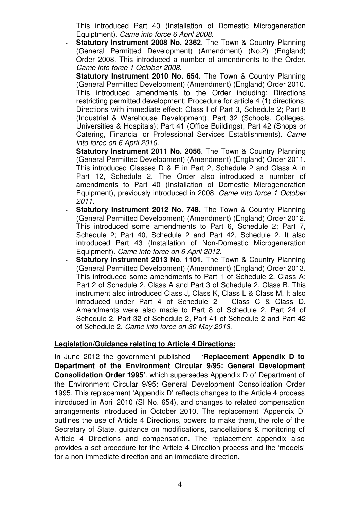This introduced Part 40 (Installation of Domestic Microgeneration Equiptment). Came into force 6 April 2008.

- **Statutory Instrument 2008 No. 2362.** The Town & Country Planning (General Permitted Development) (Amendment) (No.2) (England) Order 2008. This introduced a number of amendments to the Order. Came into force 1 October 2008.
- **Statutory Instrument 2010 No. 654.** The Town & Country Planning (General Permitted Development) (Amendment) (England) Order 2010. This introduced amendments to the Order including: Directions restricting permitted development; Procedure for article 4 (1) directions; Directions with immediate effect; Class I of Part 3, Schedule 2; Part 8 (Industrial & Warehouse Development); Part 32 (Schools, Colleges, Universities & Hospitals); Part 41 (Office Buildings); Part 42 (Shops or Catering, Financial or Professional Services Establishments). Came into force on 6 April 2010.
- **Statutory Instrument 2011 No. 2056.** The Town & Country Planning (General Permitted Development) (Amendment) (England) Order 2011. This introduced Classes D & E in Part 2, Schedule 2 and Class A in Part 12, Schedule 2. The Order also introduced a number of amendments to Part 40 (Installation of Domestic Microgeneration Equipment), previously introduced in 2008. Came into force 1 October 2011.
- **Statutory Instrument 2012 No. 748.** The Town & Country Planning (General Permitted Development) (Amendment) (England) Order 2012. This introduced some amendments to Part 6, Schedule 2; Part 7, Schedule 2; Part 40, Schedule 2 and Part 42, Schedule 2. It also introduced Part 43 (Installation of Non-Domestic Microgeneration Equipment). *Came into force on 6 April 2012*.
- **Statutory Instrument 2013 No**. **1101.** The Town & Country Planning (General Permitted Development) (Amendment) (England) Order 2013. This introduced some amendments to Part 1 of Schedule 2, Class A; Part 2 of Schedule 2, Class A and Part 3 of Schedule 2, Class B. This instrument also introduced Class J, Class K, Class L & Class M. It also introduced under Part 4 of Schedule 2 – Class C & Class D. Amendments were also made to Part 8 of Schedule 2, Part 24 of Schedule 2, Part 32 of Schedule 2, Part 41 of Schedule 2 and Part 42 of Schedule 2. Came into force on 30 May 2013.

#### **Legislation/Guidance relating to Article 4 Directions:**

In June 2012 the government published – **'Replacement Appendix D to Department of the Environment Circular 9/95: General Development Consolidation Order 1995'**. which supersedes Appendix D of Department of the Environment Circular 9/95: General Development Consolidation Order 1995. This replacement 'Appendix D' reflects changes to the Article 4 process introduced in April 2010 (SI No. 654), and changes to related compensation arrangements introduced in October 2010. The replacement 'Appendix D' outlines the use of Article 4 Directions, powers to make them, the role of the Secretary of State, guidance on modifications, cancellations & monitoring of Article 4 Directions and compensation. The replacement appendix also provides a set procedure for the Article 4 Direction process and the 'models' for a non-immediate direction and an immediate direction.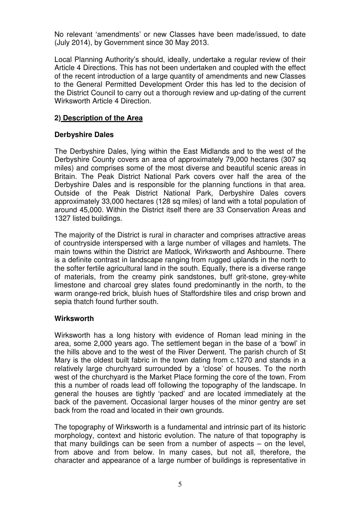No relevant 'amendments' or new Classes have been made/issued, to date (July 2014), by Government since 30 May 2013.

Local Planning Authority's should, ideally, undertake a regular review of their Article 4 Directions. This has not been undertaken and coupled with the effect of the recent introduction of a large quantity of amendments and new Classes to the General Permitted Development Order this has led to the decision of the District Council to carry out a thorough review and up-dating of the current Wirksworth Article 4 Direction.

#### **2) Description of the Area**

#### **Derbyshire Dales**

The Derbyshire Dales, lying within the East Midlands and to the west of the Derbyshire County covers an area of approximately 79,000 hectares (307 sq miles) and comprises some of the most diverse and beautiful scenic areas in Britain. The Peak District National Park covers over half the area of the Derbyshire Dales and is responsible for the planning functions in that area. Outside of the Peak District National Park, Derbyshire Dales covers approximately 33,000 hectares (128 sq miles) of land with a total population of around 45,000. Within the District itself there are 33 Conservation Areas and 1327 listed buildings.

The majority of the District is rural in character and comprises attractive areas of countryside interspersed with a large number of villages and hamlets. The main towns within the District are Matlock, Wirksworth and Ashbourne. There is a definite contrast in landscape ranging from rugged uplands in the north to the softer fertile agricultural land in the south. Equally, there is a diverse range of materials, from the creamy pink sandstones, buff grit-stone, grey-white limestone and charcoal grey slates found predominantly in the north, to the warm orange-red brick, bluish hues of Staffordshire tiles and crisp brown and sepia thatch found further south.

#### **Wirksworth**

Wirksworth has a long history with evidence of Roman lead mining in the area, some 2,000 years ago. The settlement began in the base of a 'bowl' in the hills above and to the west of the River Derwent. The parish church of St Mary is the oldest built fabric in the town dating from c.1270 and stands in a relatively large churchyard surrounded by a 'close' of houses. To the north west of the churchyard is the Market Place forming the core of the town. From this a number of roads lead off following the topography of the landscape. In general the houses are tightly 'packed' and are located immediately at the back of the pavement. Occasional larger houses of the minor gentry are set back from the road and located in their own grounds.

The topography of Wirksworth is a fundamental and intrinsic part of its historic morphology, context and historic evolution. The nature of that topography is that many buildings can be seen from a number of aspects – on the level, from above and from below. In many cases, but not all, therefore, the character and appearance of a large number of buildings is representative in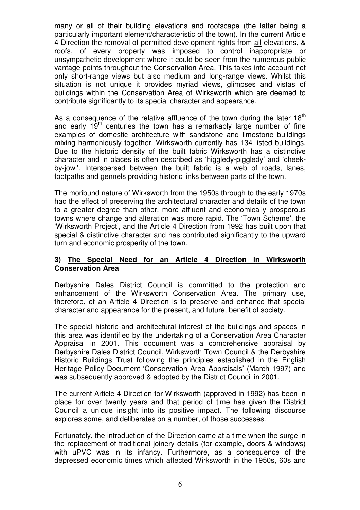many or all of their building elevations and roofscape (the latter being a particularly important element/characteristic of the town). In the current Article 4 Direction the removal of permitted development rights from all elevations, & roofs, of every property was imposed to control inappropriate or unsympathetic development where it could be seen from the numerous public vantage points throughout the Conservation Area. This takes into account not only short-range views but also medium and long-range views. Whilst this situation is not unique it provides myriad views, glimpses and vistas of buildings within the Conservation Area of Wirksworth which are deemed to contribute significantly to its special character and appearance.

As a consequence of the relative affluence of the town during the later  $18<sup>th</sup>$ and early  $19<sup>th</sup>$  centuries the town has a remarkably large number of fine examples of domestic architecture with sandstone and limestone buildings mixing harmoniously together. Wirksworth currently has 134 listed buildings. Due to the historic density of the built fabric Wirksworth has a distinctive character and in places is often described as 'higgledy-piggledy' and 'cheekby-jowl'. Interspersed between the built fabric is a web of roads, lanes, footpaths and gennels providing historic links between parts of the town.

The moribund nature of Wirksworth from the 1950s through to the early 1970s had the effect of preserving the architectural character and details of the town to a greater degree than other, more affluent and economically prosperous towns where change and alteration was more rapid. The 'Town Scheme', the 'Wirksworth Project', and the Article 4 Direction from 1992 has built upon that special & distinctive character and has contributed significantly to the upward turn and economic prosperity of the town.

#### **3) The Special Need for an Article 4 Direction in Wirksworth Conservation Area**

Derbyshire Dales District Council is committed to the protection and enhancement of the Wirksworth Conservation Area. The primary use, therefore, of an Article 4 Direction is to preserve and enhance that special character and appearance for the present, and future, benefit of society.

The special historic and architectural interest of the buildings and spaces in this area was identified by the undertaking of a Conservation Area Character Appraisal in 2001. This document was a comprehensive appraisal by Derbyshire Dales District Council, Wirksworth Town Council & the Derbyshire Historic Buildings Trust following the principles established in the English Heritage Policy Document 'Conservation Area Appraisals' (March 1997) and was subsequently approved & adopted by the District Council in 2001.

The current Article 4 Direction for Wirksworth (approved in 1992) has been in place for over twenty years and that period of time has given the District Council a unique insight into its positive impact. The following discourse explores some, and deliberates on a number, of those successes.

Fortunately, the introduction of the Direction came at a time when the surge in the replacement of traditional joinery details (for example, doors & windows) with uPVC was in its infancy. Furthermore, as a consequence of the depressed economic times which affected Wirksworth in the 1950s, 60s and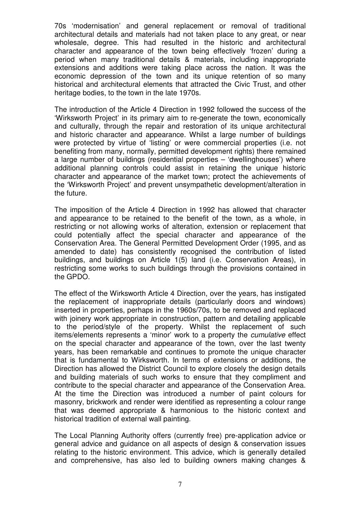70s 'modernisation' and general replacement or removal of traditional architectural details and materials had not taken place to any great, or near wholesale, degree. This had resulted in the historic and architectural character and appearance of the town being effectively 'frozen' during a period when many traditional details & materials, including inappropriate extensions and additions were taking place across the nation. It was the economic depression of the town and its unique retention of so many historical and architectural elements that attracted the Civic Trust, and other heritage bodies, to the town in the late 1970s.

The introduction of the Article 4 Direction in 1992 followed the success of the 'Wirksworth Project' in its primary aim to re-generate the town, economically and culturally, through the repair and restoration of its unique architectural and historic character and appearance. Whilst a large number of buildings were protected by virtue of 'listing' or were commercial properties (i.e. not benefiting from many, normally, permitted development rights) there remained a large number of buildings (residential properties – 'dwellinghouses') where additional planning controls could assist in retaining the unique historic character and appearance of the market town; protect the achievements of the 'Wirksworth Project' and prevent unsympathetic development/alteration in the future.

The imposition of the Article 4 Direction in 1992 has allowed that character and appearance to be retained to the benefit of the town, as a whole, in restricting or not allowing works of alteration, extension or replacement that could potentially affect the special character and appearance of the Conservation Area. The General Permitted Development Order (1995, and as amended to date) has consistently recognised the contribution of listed buildings, and buildings on Article 1(5) land (i.e. Conservation Areas), in restricting some works to such buildings through the provisions contained in the GPDO.

The effect of the Wirksworth Article 4 Direction, over the years, has instigated the replacement of inappropriate details (particularly doors and windows) inserted in properties, perhaps in the 1960s/70s, to be removed and replaced with joinery work appropriate in construction, pattern and detailing applicable to the period/style of the property. Whilst the replacement of such items/elements represents a 'minor' work to a property the cumulative effect on the special character and appearance of the town, over the last twenty years, has been remarkable and continues to promote the unique character that is fundamental to Wirksworth. In terms of extensions or additions, the Direction has allowed the District Council to explore closely the design details and building materials of such works to ensure that they compliment and contribute to the special character and appearance of the Conservation Area. At the time the Direction was introduced a number of paint colours for masonry, brickwork and render were identified as representing a colour range that was deemed appropriate & harmonious to the historic context and historical tradition of external wall painting.

The Local Planning Authority offers (currently free) pre-application advice or general advice and guidance on all aspects of design & conservation issues relating to the historic environment. This advice, which is generally detailed and comprehensive, has also led to building owners making changes &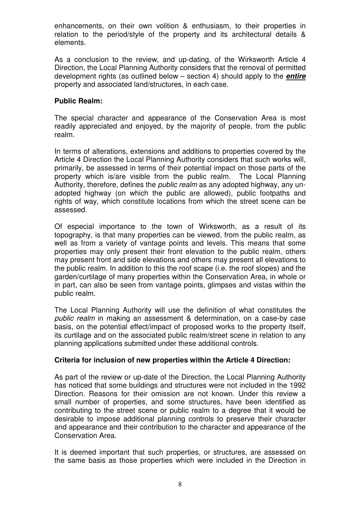enhancements, on their own volition & enthusiasm, to their properties in relation to the period/style of the property and its architectural details & elements.

As a conclusion to the review, and up-dating, of the Wirksworth Article 4 Direction, the Local Planning Authority considers that the removal of permitted development rights (as outlined below – section 4) should apply to the **entire** property and associated land/structures, in each case.

#### **Public Realm:**

The special character and appearance of the Conservation Area is most readily appreciated and enjoyed, by the majority of people, from the public realm.

In terms of alterations, extensions and additions to properties covered by the Article 4 Direction the Local Planning Authority considers that such works will, primarily, be assessed in terms of their potential impact on those parts of the property which is/are visible from the public realm. The Local Planning Authority, therefore, defines the public realm as any adopted highway, any unadopted highway (on which the public are allowed), public footpaths and rights of way, which constitute locations from which the street scene can be assessed.

Of especial importance to the town of Wirksworth, as a result of its topography, is that many properties can be viewed, from the public realm, as well as from a variety of vantage points and levels. This means that some properties may only present their front elevation to the public realm, others may present front and side elevations and others may present all elevations to the public realm. In addition to this the roof scape (i.e. the roof slopes) and the garden/curtilage of many properties within the Conservation Area, in whole or in part, can also be seen from vantage points, glimpses and vistas within the public realm.

The Local Planning Authority will use the definition of what constitutes the public realm in making an assessment & determination, on a case-by case basis, on the potential effect/impact of proposed works to the property itself, its curtilage and on the associated public realm/street scene in relation to any planning applications submitted under these additional controls.

#### **Criteria for inclusion of new properties within the Article 4 Direction:**

As part of the review or up-date of the Direction, the Local Planning Authority has noticed that some buildings and structures were not included in the 1992 Direction. Reasons for their omission are not known. Under this review a small number of properties, and some structures, have been identified as contributing to the street scene or public realm to a degree that it would be desirable to impose additional planning controls to preserve their character and appearance and their contribution to the character and appearance of the Conservation Area.

It is deemed important that such properties, or structures, are assessed on the same basis as those properties which were included in the Direction in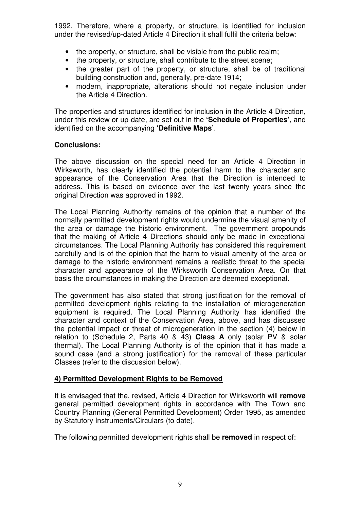1992. Therefore, where a property, or structure, is identified for inclusion under the revised/up-dated Article 4 Direction it shall fulfil the criteria below:

- the property, or structure, shall be visible from the public realm;
- the property, or structure, shall contribute to the street scene:
- the greater part of the property, or structure, shall be of traditional building construction and, generally, pre-date 1914;
- modern, inappropriate, alterations should not negate inclusion under the Article 4 Direction.

The properties and structures identified for inclusion in the Article 4 Direction, under this review or up-date, are set out in the **'Schedule of Properties'**, and identified on the accompanying **'Definitive Maps'**.

#### **Conclusions:**

The above discussion on the special need for an Article 4 Direction in Wirksworth, has clearly identified the potential harm to the character and appearance of the Conservation Area that the Direction is intended to address. This is based on evidence over the last twenty years since the original Direction was approved in 1992.

The Local Planning Authority remains of the opinion that a number of the normally permitted development rights would undermine the visual amenity of the area or damage the historic environment. The government propounds that the making of Article 4 Directions should only be made in exceptional circumstances. The Local Planning Authority has considered this requirement carefully and is of the opinion that the harm to visual amenity of the area or damage to the historic environment remains a realistic threat to the special character and appearance of the Wirksworth Conservation Area. On that basis the circumstances in making the Direction are deemed exceptional.

The government has also stated that strong justification for the removal of permitted development rights relating to the installation of microgeneration equipment is required. The Local Planning Authority has identified the character and context of the Conservation Area, above, and has discussed the potential impact or threat of microgeneration in the section (4) below in relation to (Schedule 2, Parts 40 & 43) **Class A** only (solar PV & solar thermal). The Local Planning Authority is of the opinion that it has made a sound case (and a strong justification) for the removal of these particular Classes (refer to the discussion below).

#### **4) Permitted Development Rights to be Removed**

It is envisaged that the, revised, Article 4 Direction for Wirksworth will **remove** general permitted development rights in accordance with The Town and Country Planning (General Permitted Development) Order 1995, as amended by Statutory Instruments/Circulars (to date).

The following permitted development rights shall be **removed** in respect of: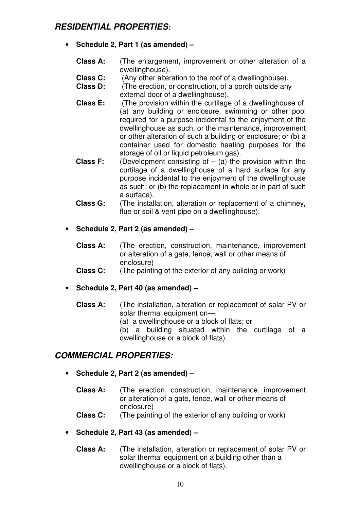## **RESIDENTIAL PROPERTIES:**

- **Schedule 2, Part 1 (as amended)** 
	- **Class A:** (The enlargement, improvement or other alteration of a dwellinghouse).<br>**Class C:** (Any other alter
		- **Class C:** (Any other alteration to the roof of a dwellinghouse).
	- **Class D:** (The erection, or construction, of a porch outside any external door of a dwellinghouse).<br>**Class F:** (The provision within the curtilage
	- (The provision within the curtilage of a dwellinghouse of: (a) any building or enclosure, swimming or other pool required for a purpose incidental to the enjoyment of the dwellinghouse as such, or the maintenance, improvement or other alteration of such a building or enclosure; or (b) a container used for domestic heating purposes for the storage of oil or liquid petroleum gas).
	- **Class F:** (Development consisting of (a) the provision within the curtilage of a dwellinghouse of a hard surface for any purpose incidental to the enjoyment of the dwellinghouse as such; or (b) the replacement in whole or in part of such a surface).
	- **Class G:** (The installation, alteration or replacement of a chimney, flue or soil & vent pipe on a dwellinghouse).

#### • **Schedule 2, Part 2 (as amended) –**

- **Class A:** (The erection, construction, maintenance, improvement or alteration of a gate, fence, wall or other means of enclosure)
- **Class C:** (The painting of the exterior of any building or work)

#### • **Schedule 2, Part 40 (as amended) –**

- **Class A:** (The installation, alteration or replacement of solar PV or solar thermal equipment on—
	- (a) a dwellinghouse or a block of flats; or

(b) a building situated within the curtilage of a dwellinghouse or a block of flats).

### **COMMERCIAL PROPERTIES:**

- **Schedule 2, Part 2 (as amended)** 
	- **Class A:** (The erection, construction, maintenance, improvement or alteration of a gate, fence, wall or other means of enclosure)
	- **Class C:** (The painting of the exterior of any building or work)

#### • **Schedule 2, Part 43 (as amended) –**

**Class A:** (The installation, alteration or replacement of solar PV or solar thermal equipment on a building other than a dwellinghouse or a block of flats).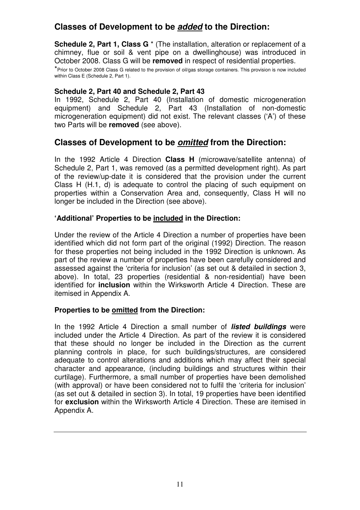## **Classes of Development to be added to the Direction:**

**Schedule 2, Part 1, Class G**  $*$  (The installation, alteration or replacement of a chimney, flue or soil & vent pipe on a dwellinghouse) was introduced in October 2008. Class G will be **removed** in respect of residential properties.

\*Prior to October 2008 Class G related to the provision of oil/gas storage containers. This provision is now included within Class E (Schedule 2, Part 1).

#### **Schedule 2, Part 40 and Schedule 2, Part 43**

In 1992, Schedule 2, Part 40 (Installation of domestic microgeneration equipment) and Schedule 2, Part 43 (Installation of non-domestic microgeneration equipment) did not exist. The relevant classes ('A') of these two Parts will be **removed** (see above).

#### **Classes of Development to be omitted from the Direction:**

In the 1992 Article 4 Direction **Class H** (microwave/satellite antenna) of Schedule 2, Part 1, was removed (as a permitted development right). As part of the review/up-date it is considered that the provision under the current Class H (H.1, d) is adequate to control the placing of such equipment on properties within a Conservation Area and, consequently, Class H will no longer be included in the Direction (see above).

#### **'Additional' Properties to be included in the Direction:**

Under the review of the Article 4 Direction a number of properties have been identified which did not form part of the original (1992) Direction. The reason for these properties not being included in the 1992 Direction is unknown. As part of the review a number of properties have been carefully considered and assessed against the 'criteria for inclusion' (as set out & detailed in section 3, above). In total, 23 properties (residential & non-residential) have been identified for **inclusion** within the Wirksworth Article 4 Direction. These are itemised in Appendix A.

#### **Properties to be omitted from the Direction:**

In the 1992 Article 4 Direction a small number of **listed buildings** were included under the Article 4 Direction. As part of the review it is considered that these should no longer be included in the Direction as the current planning controls in place, for such buildings/structures, are considered adequate to control alterations and additions which may affect their special character and appearance, (including buildings and structures within their curtilage). Furthermore, a small number of properties have been demolished (with approval) or have been considered not to fulfil the 'criteria for inclusion' (as set out & detailed in section 3). In total, 19 properties have been identified for **exclusion** within the Wirksworth Article 4 Direction. These are itemised in Appendix A.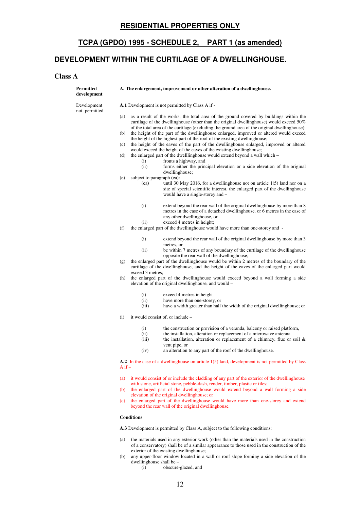#### **RESIDENTIAL PROPERTIES ONLY**

#### **TCPA (GPDO) 1995 - SCHEDULE 2, PART 1 (as amended)**

#### **DEVELOPMENT WITHIN THE CURTILAGE OF A DWELLINGHOUSE.**

#### **Class A**

#### **Permitted A. The enlargement, improvement or other alteration of a dwellinghouse. development**  Development **A.1** Development is not permitted by Class A if not permitted (a) as a result of the works, the total area of the ground covered by buildings within the curtilage of the dwellinghouse (other than the original dwellinghouse) would exceed 50% of the total area of the curtilage (excluding the ground area of the original dwellinghouse); (b) the height of the part of the dwellinghouse enlarged, improved or altered would exceed the height of the highest part of the roof of the existing dwellinghouse; (c) the height of the eaves of the part of the dwellinghouse enlarged, improved or altered would exceed the height of the eaves of the existing dwellinghouse; (d) the enlarged part of the dwelllinghouse would extend beyond a wall which – (i) fronts a highway, and<br>(ii) forms either the prin forms either the principal elevation or a side elevation of the original dwellinghouse; (e) subject to paragraph (ea): (ea) until 30 May 2016, for a dwellinghouse not on article 1(5) land nor on a site of special scientific interest, the enlarged part of the dwellinghouse would have a single-storey and – (i) extend beyond the rear wall of the original dwellinghouse by more than 8 metres in the case of a detached dwellinghouse, or 6 metres in the case of any other dwellinghouse, or (ii) exceed 4 metres in height; (f) the enlarged part of the dwellinghouse would have more than one-storey and -

- (i) extend beyond the rear wall of the original dwellinghouse by more than 3 metres, or
- (ii) be within 7 metres of any boundary of the curtilage of the dwellinghouse opposite the rear wall of the dwellinghouse;
- (g) the enlarged part of the dwellinghouse would be within 2 metres of the boundary of the curtilage of the dwellinghouse, and the height of the eaves of the enlarged part would exceed 3 metres;
- (h) the enlarged part of the dwellinghouse would exceed beyond a wall forming a side elevation of the original dwellinghouse, and would –
	-
	- (i) exceed 4 metres in height<br>(ii) have more than one-storey have more than one-storey, or
	- (iii) have a width greater than half the width of the original dwellinghouse; or
- (i) it would consist of, or include
	- (i) the construction or provision of a veranda, balcony or raised platform,  $(i)$  the installation, alteration or replacement of a microwave antenna
	- the installation, alteration or replacement of a microwave antenna
	- (iii) the installation, alteration or replacement of a chimney, flue or soil  $\&$ vent pipe, or
	- (iv) an alteration to any part of the roof of the dwellinghouse.

**A.2** In the case of a dwellinghouse on article 1(5) land, development is not permitted by Class  $A$  if  $-$ 

- (a) it would consist of or include the cladding of any part of the exterior of the dwellinghouse with stone, artificial stone, pebble-dash, render, timber, plastic or tiles;
- (b) the enlarged part of the dwellinghouse would extend beyond a wall forming a side elevation of the original dwellinghouse; or
- (c) the enlarged part of the dwellinghouse would have more than one-storey and extend beyond the rear wall of the original dwellinghouse.

#### **Conditions**

**A.3** Development is permitted by Class A, subject to the following conditions:

- (a) the materials used in any exterior work (other than the materials used in the construction of a conservatory) shall be of a similar appearance to those used in the construction of the exterior of the existing dwellinghouse;
- (b) any upper-floor window located in a wall or roof slope forming a side elevation of the dwellinghouse shall be –
	- (i) obscure-glazed, and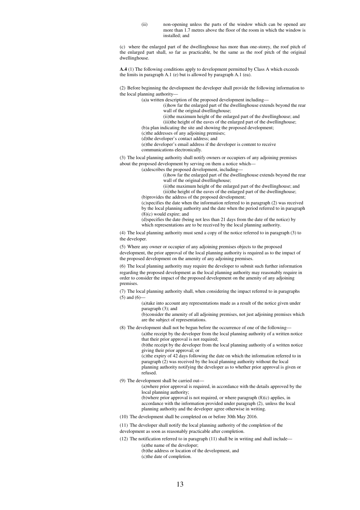(ii) non-opening unless the parts of the window which can be opened are more than 1.7 metres above the floor of the room in which the window is installed; and

(c) where the enlarged part of the dwellinghouse has more than one-storey, the roof pitch of the enlarged part shall, so far as practicable, be the same as the roof pitch of the original dwellinghouse.

**A.4** (1) The following conditions apply to development permitted by Class A which exceeds the limits in paragraph A.1 (e) but is allowed by paragraph A.1 (ea).

(2) Before beginning the development the developer shall provide the following information to the local planning authority—

(a)a written description of the proposed development including—

(i)how far the enlarged part of the dwellinghouse extends beyond the rear wall of the original dwellinghouse:

(ii)the maximum height of the enlarged part of the dwellinghouse; and

(iii)the height of the eaves of the enlarged part of the dwellinghouse;

(b)a plan indicating the site and showing the proposed development;

(c)the addresses of any adjoining premises; (d)the developer's contact address; and

(e)the developer's email address if the developer is content to receive

communications electronically.

(3) The local planning authority shall notify owners or occupiers of any adjoining premises about the proposed development by serving on them a notice which—

(a)describes the proposed development, including—

(i)how far the enlarged part of the dwellinghouse extends beyond the rear wall of the original dwellinghouse;

(ii)the maximum height of the enlarged part of the dwellinghouse; and

(iii)the height of the eaves of the enlarged part of the dwellinghouse;

(b)provides the address of the proposed development;

(c)specifies the date when the information referred to in paragraph (2) was received by the local planning authority and the date when the period referred to in paragraph (8)(c) would expire; and

(d)specifies the date (being not less than 21 days from the date of the notice) by which representations are to be received by the local planning authority.

(4) The local planning authority must send a copy of the notice referred to in paragraph (3) to the developer.

(5) Where any owner or occupier of any adjoining premises objects to the proposed development, the prior approval of the local planning authority is required as to the impact of the proposed development on the amenity of any adjoining premises.

(6) The local planning authority may require the developer to submit such further information regarding the proposed development as the local planning authority may reasonably require in order to consider the impact of the proposed development on the amenity of any adjoining premises.

(7) The local planning authority shall, when considering the impact referred to in paragraphs  $(5)$  and  $(6)$ -

> (a)take into account any representations made as a result of the notice given under paragraph (3); and

(b)consider the amenity of all adjoining premises, not just adjoining premises which are the subject of representations.

(8) The development shall not be begun before the occurrence of one of the following—

(a)the receipt by the developer from the local planning authority of a written notice that their prior approval is not required;

(b)the receipt by the developer from the local planning authority of a written notice giving their prior approval; or

(c)the expiry of 42 days following the date on which the information referred to in paragraph (2) was received by the local planning authority without the local planning authority notifying the developer as to whether prior approval is given or refused.

(9) The development shall be carried out—

(a)where prior approval is required, in accordance with the details approved by the local planning authority;

(b)where prior approval is not required, or where paragraph (8)(c) applies, in accordance with the information provided under paragraph (2), unless the local planning authority and the developer agree otherwise in writing.

(10) The development shall be completed on or before 30th May 2016.

(11) The developer shall notify the local planning authority of the completion of the development as soon as reasonably practicable after completion.

(12) The notification referred to in paragraph (11) shall be in writing and shall include—

(a)the name of the developer;

(b)the address or location of the development, and

(c)the date of completion.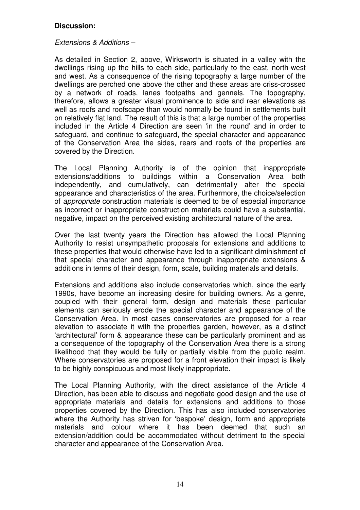#### **Discussion:**

#### Extensions & Additions –

As detailed in Section 2, above, Wirksworth is situated in a valley with the dwellings rising up the hills to each side, particularly to the east, north-west and west. As a consequence of the rising topography a large number of the dwellings are perched one above the other and these areas are criss-crossed by a network of roads, lanes footpaths and gennels. The topography, therefore, allows a greater visual prominence to side and rear elevations as well as roofs and roofscape than would normally be found in settlements built on relatively flat land. The result of this is that a large number of the properties included in the Article 4 Direction are seen 'in the round' and in order to safeguard, and continue to safeguard, the special character and appearance of the Conservation Area the sides, rears and roofs of the properties are covered by the Direction.

The Local Planning Authority is of the opinion that inappropriate extensions/additions to buildings within a Conservation Area both independently, and cumulatively, can detrimentally alter the special appearance and characteristics of the area. Furthermore, the choice/selection of appropriate construction materials is deemed to be of especial importance as incorrect or inappropriate construction materials could have a substantial, negative, impact on the perceived existing architectural nature of the area.

Over the last twenty years the Direction has allowed the Local Planning Authority to resist unsympathetic proposals for extensions and additions to these properties that would otherwise have led to a significant diminishment of that special character and appearance through inappropriate extensions & additions in terms of their design, form, scale, building materials and details.

Extensions and additions also include conservatories which, since the early 1990s, have become an increasing desire for building owners. As a genre, coupled with their general form, design and materials these particular elements can seriously erode the special character and appearance of the Conservation Area. In most cases conservatories are proposed for a rear elevation to associate it with the properties garden, however, as a distinct 'architectural' form & appearance these can be particularly prominent and as a consequence of the topography of the Conservation Area there is a strong likelihood that they would be fully or partially visible from the public realm. Where conservatories are proposed for a front elevation their impact is likely to be highly conspicuous and most likely inappropriate.

The Local Planning Authority, with the direct assistance of the Article 4 Direction, has been able to discuss and negotiate good design and the use of appropriate materials and details for extensions and additions to those properties covered by the Direction. This has also included conservatories where the Authority has striven for 'bespoke' design, form and appropriate materials and colour where it has been deemed that such an extension/addition could be accommodated without detriment to the special character and appearance of the Conservation Area.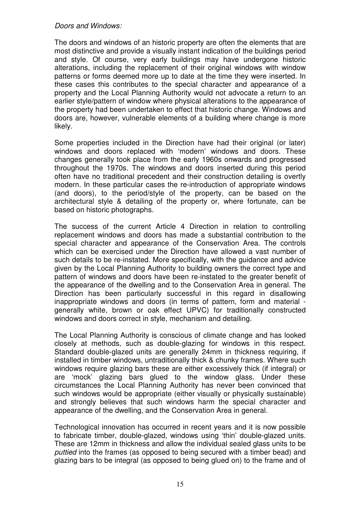#### Doors and Windows:

The doors and windows of an historic property are often the elements that are most distinctive and provide a visually instant indication of the buildings period and style. Of course, very early buildings may have undergone historic alterations, including the replacement of their original windows with window patterns or forms deemed more up to date at the time they were inserted. In these cases this contributes to the special character and appearance of a property and the Local Planning Authority would not advocate a return to an earlier style/pattern of window where physical alterations to the appearance of the property had been undertaken to effect that historic change. Windows and doors are, however, vulnerable elements of a building where change is more likely.

Some properties included in the Direction have had their original (or later) windows and doors replaced with 'modern' windows and doors. These changes generally took place from the early 1960s onwards and progressed throughout the 1970s. The windows and doors inserted during this period often have no traditional precedent and their construction detailing is overtly modern. In these particular cases the re-introduction of appropriate windows (and doors), to the period/style of the property, can be based on the architectural style & detailing of the property or, where fortunate, can be based on historic photographs.

The success of the current Article 4 Direction in relation to controlling replacement windows and doors has made a substantial contribution to the special character and appearance of the Conservation Area. The controls which can be exercised under the Direction have allowed a vast number of such details to be re-instated. More specifically, with the guidance and advice given by the Local Planning Authority to building owners the correct type and pattern of windows and doors have been re-instated to the greater benefit of the appearance of the dwelling and to the Conservation Area in general. The Direction has been particularly successful in this regard in disallowing inappropriate windows and doors (in terms of pattern, form and material generally white, brown or oak effect UPVC) for traditionally constructed windows and doors correct in style, mechanism and detailing.

The Local Planning Authority is conscious of climate change and has looked closely at methods, such as double-glazing for windows in this respect. Standard double-glazed units are generally 24mm in thickness requiring, if installed in timber windows, untraditionally thick & chunky frames. Where such windows require glazing bars these are either excessively thick (if integral) or are 'mock' glazing bars glued to the window glass. Under these circumstances the Local Planning Authority has never been convinced that such windows would be appropriate (either visually or physically sustainable) and strongly believes that such windows harm the special character and appearance of the dwelling, and the Conservation Area in general.

Technological innovation has occurred in recent years and it is now possible to fabricate timber, double-glazed, windows using 'thin' double-glazed units. These are 12mm in thickness and allow the individual sealed glass units to be puttied into the frames (as opposed to being secured with a timber bead) and glazing bars to be integral (as opposed to being glued on) to the frame and of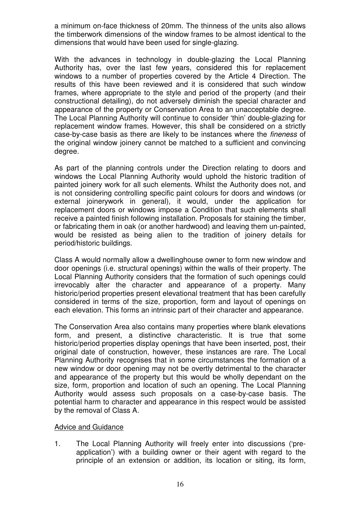a minimum on-face thickness of 20mm. The thinness of the units also allows the timberwork dimensions of the window frames to be almost identical to the dimensions that would have been used for single-glazing.

With the advances in technology in double-glazing the Local Planning Authority has, over the last few years, considered this for replacement windows to a number of properties covered by the Article 4 Direction. The results of this have been reviewed and it is considered that such window frames, where appropriate to the style and period of the property (and their constructional detailing), do not adversely diminish the special character and appearance of the property or Conservation Area to an unacceptable degree. The Local Planning Authority will continue to consider 'thin' double-glazing for replacement window frames. However, this shall be considered on a strictly case-by-case basis as there are likely to be instances where the fineness of the original window joinery cannot be matched to a sufficient and convincing degree.

As part of the planning controls under the Direction relating to doors and windows the Local Planning Authority would uphold the historic tradition of painted joinery work for all such elements. Whilst the Authority does not, and is not considering controlling specific paint colours for doors and windows (or external joinerywork in general), it would, under the application for replacement doors or windows impose a Condition that such elements shall receive a painted finish following installation. Proposals for staining the timber, or fabricating them in oak (or another hardwood) and leaving them un-painted, would be resisted as being alien to the tradition of joinery details for period/historic buildings.

Class A would normally allow a dwellinghouse owner to form new window and door openings (i.e. structural openings) within the walls of their property. The Local Planning Authority considers that the formation of such openings could irrevocably alter the character and appearance of a property. Many historic/period properties present elevational treatment that has been carefully considered in terms of the size, proportion, form and layout of openings on each elevation. This forms an intrinsic part of their character and appearance.

The Conservation Area also contains many properties where blank elevations form, and present, a distinctive characteristic. It is true that some historic/period properties display openings that have been inserted, post, their original date of construction, however, these instances are rare. The Local Planning Authority recognises that in some circumstances the formation of a new window or door opening may not be overtly detrimental to the character and appearance of the property but this would be wholly dependant on the size, form, proportion and location of such an opening. The Local Planning Authority would assess such proposals on a case-by-case basis. The potential harm to character and appearance in this respect would be assisted by the removal of Class A.

#### Advice and Guidance

1. The Local Planning Authority will freely enter into discussions ('preapplication') with a building owner or their agent with regard to the principle of an extension or addition, its location or siting, its form,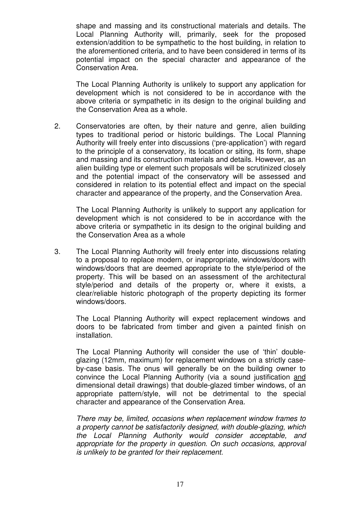shape and massing and its constructional materials and details. The Local Planning Authority will, primarily, seek for the proposed extension/addition to be sympathetic to the host building, in relation to the aforementioned criteria, and to have been considered in terms of its potential impact on the special character and appearance of the Conservation Area.

 The Local Planning Authority is unlikely to support any application for development which is not considered to be in accordance with the above criteria or sympathetic in its design to the original building and the Conservation Area as a whole.

2. Conservatories are often, by their nature and genre, alien building types to traditional period or historic buildings. The Local Planning Authority will freely enter into discussions ('pre-application') with regard to the principle of a conservatory, its location or siting, its form, shape and massing and its construction materials and details. However, as an alien building type or element such proposals will be scrutinized closely and the potential impact of the conservatory will be assessed and considered in relation to its potential effect and impact on the special character and appearance of the property, and the Conservation Area.

 The Local Planning Authority is unlikely to support any application for development which is not considered to be in accordance with the above criteria or sympathetic in its design to the original building and the Conservation Area as a whole

3. The Local Planning Authority will freely enter into discussions relating to a proposal to replace modern, or inappropriate, windows/doors with windows/doors that are deemed appropriate to the style/period of the property. This will be based on an assessment of the architectural style/period and details of the property or, where it exists, a clear/reliable historic photograph of the property depicting its former windows/doors.

 The Local Planning Authority will expect replacement windows and doors to be fabricated from timber and given a painted finish on installation.

 The Local Planning Authority will consider the use of 'thin' doubleglazing (12mm, maximum) for replacement windows on a strictly caseby-case basis. The onus will generally be on the building owner to convince the Local Planning Authority (via a sound justification and dimensional detail drawings) that double-glazed timber windows, of an appropriate pattern/style, will not be detrimental to the special character and appearance of the Conservation Area.

There may be, limited, occasions when replacement window frames to a property cannot be satisfactorily designed, with double-glazing, which the Local Planning Authority would consider acceptable, and appropriate for the property in question. On such occasions, approval is unlikely to be granted for their replacement.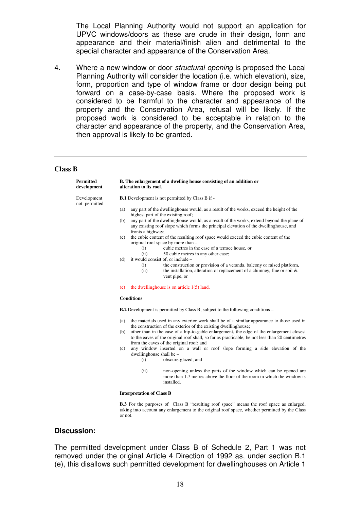The Local Planning Authority would not support an application for UPVC windows/doors as these are crude in their design, form and appearance and their material/finish alien and detrimental to the special character and appearance of the Conservation Area.

4. Where a new window or door *structural opening* is proposed the Local Planning Authority will consider the location (i.e. which elevation), size, form, proportion and type of window frame or door design being put forward on a case-by-case basis. Where the proposed work is considered to be harmful to the character and appearance of the property and the Conservation Area, refusal will be likely. If the proposed work is considered to be acceptable in relation to the character and appearance of the property, and the Conservation Area, then approval is likely to be granted.

#### **Class B**

**Permitted B. The enlargement of a dwelling house consisting of an addition or development alteration to its roof.** 

not permitted

Development **B.1** Development is not permitted by Class B if -

- (a) any part of the dwellinghouse would, as a result of the works, exceed the height of the highest part of the existing roof;
- (b) any part of the dwellinghouse would, as a result of the works, extend beyond the plane of any existing roof slope which forms the principal elevation of the dwellinghouse, and fronts a highway;
- (c) the cubic content of the resulting roof space would exceed the cubic content of the original roof space by more than –
	- (i) cubic metres in the case of a terrace house, or
	- (ii) 50 cubic metres in any other case;
- (d) it would consist of, or include
	- (i) the construction or provision of a veranda, balcony or raised platform,  $(i)$  the installation, alteration or replacement of a chimney, flue or soil & the installation, alteration or replacement of a chimney, flue or soil  $\&$ vent pipe, or
- (e) the dwellinghouse is on article 1(5) land.

#### **Conditions**

**B.2** Development is permitted by Class B, subject to the following conditions –

- (a) the materials used in any exterior work shall be of a similar appearance to those used in the construction of the exterior of the existing dwellinghouse;
- (b) other than in the case of a hip-to-gable enlargement, the edge of the enlargement closest to the eaves of the original roof shall, so far as practicable, be not less than 20 centimetres from the eaves of the original roof; and
- (c) any window inserted on a wall or roof slope forming a side elevation of the dwellinghouse shall be –
	- (i) obscure-glazed, and
	- (ii) non-opening unless the parts of the window which can be opened are more than 1.7 metres above the floor of the room in which the window is installed.

#### **Interpretation of Class B**

**B.3** For the purposes of Class B "resulting roof space" means the roof space as enlarged, taking into account any enlargement to the original roof space, whether permitted by the Class or not.

#### **Discussion:**

The permitted development under Class B of Schedule 2, Part 1 was not removed under the original Article 4 Direction of 1992 as, under section B.1 (e), this disallows such permitted development for dwellinghouses on Article 1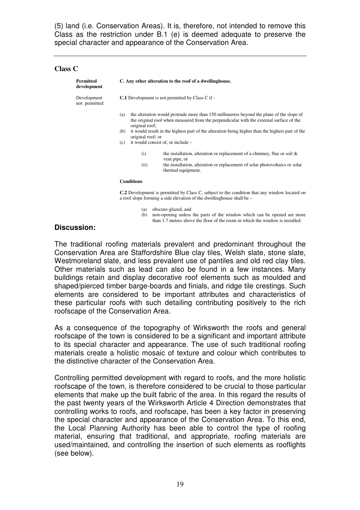(5) land (i.e. Conservation Areas). It is, therefore, not intended to remove this Class as the restriction under B.1 (e) is deemed adequate to preserve the special character and appearance of the Conservation Area.

#### **Class C**

| <b>Permitted</b><br>development | C. Any other alteration to the roof of a dwellinghouse.                                                                                                                                                                                                                                                                                                                                                                                                                                                                                                                                                     |
|---------------------------------|-------------------------------------------------------------------------------------------------------------------------------------------------------------------------------------------------------------------------------------------------------------------------------------------------------------------------------------------------------------------------------------------------------------------------------------------------------------------------------------------------------------------------------------------------------------------------------------------------------------|
| Development<br>not permitted    | <b>C.1</b> Development is not permitted by Class C if -                                                                                                                                                                                                                                                                                                                                                                                                                                                                                                                                                     |
|                                 | the alteration would protrude more than 150 millimetres beyond the plane of the slope of<br>(a)<br>the original roof when measured from the perpendicular with the external surface of the<br>original roof;<br>it would result in the highest part of the alteration being higher than the highest part of the<br>(b)<br>original roof; or<br>it would consist of, or include –<br>(c)<br>the installation, alteration or replacement of a chimney, flue or soil $\&$<br>(i)<br>vent pipe, or<br>the installation, alteration or replacement of solar photovoltaics or solar<br>(ii)<br>thermal equipment. |
|                                 | <b>Conditions</b>                                                                                                                                                                                                                                                                                                                                                                                                                                                                                                                                                                                           |
|                                 | <b>C.2</b> Development is permitted by Class C, subject to the condition that any window located on<br>a roof slope forming a side elevation of the dwellinghouse shall be –                                                                                                                                                                                                                                                                                                                                                                                                                                |

- (a) obscure-glazed, and
- (b) non-opening unless the parts of the window which can be opened are more than 1.7 metres above the floor of the room in which the window is installed.

#### **Discussion:**

The traditional roofing materials prevalent and predominant throughout the Conservation Area are Staffordshire Blue clay tiles, Welsh slate, stone slate, Westmoreland slate, and less prevalent use of pantiles and old red clay tiles. Other materials such as lead can also be found in a few instances. Many buildings retain and display decorative roof elements such as moulded and shaped/pierced timber barge-boards and finials, and ridge tile crestings. Such elements are considered to be important attributes and characteristics of these particular roofs with such detailing contributing positively to the rich roofscape of the Conservation Area.

As a consequence of the topography of Wirksworth the roofs and general roofscape of the town is considered to be a significant and important attribute to its special character and appearance. The use of such traditional roofing materials create a holistic mosaic of texture and colour which contributes to the distinctive character of the Conservation Area.

Controlling permitted development with regard to roofs, and the more holistic roofscape of the town, is therefore considered to be crucial to those particular elements that make up the built fabric of the area. In this regard the results of the past twenty years of the Wirksworth Article 4 Direction demonstrates that controlling works to roofs, and roofscape, has been a key factor in preserving the special character and appearance of the Conservation Area. To this end, the Local Planning Authority has been able to control the type of roofing material, ensuring that traditional, and appropriate, roofing materials are used/maintained, and controlling the insertion of such elements as rooflights (see below).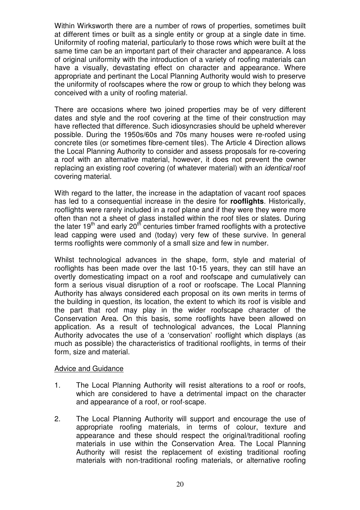Within Wirksworth there are a number of rows of properties, sometimes built at different times or built as a single entity or group at a single date in time. Uniformity of roofing material, particularly to those rows which were built at the same time can be an important part of their character and appearance. A loss of original uniformity with the introduction of a variety of roofing materials can have a visually, devastating effect on character and appearance. Where appropriate and pertinant the Local Planning Authority would wish to preserve the uniformity of roofscapes where the row or group to which they belong was conceived with a unity of roofing material.

There are occasions where two joined properties may be of very different dates and style and the roof covering at the time of their construction may have reflected that difference. Such idiosyncrasies should be upheld wherever possible. During the 1950s/60s and 70s many houses were re-roofed using concrete tiles (or sometimes fibre-cement tiles). The Article 4 Direction allows the Local Planning Authority to consider and assess proposals for re-covering a roof with an alternative material, however, it does not prevent the owner replacing an existing roof covering (of whatever material) with an identical roof covering material.

With regard to the latter, the increase in the adaptation of vacant roof spaces has led to a consequential increase in the desire for **rooflights**. Historically, rooflights were rarely included in a roof plane and if they were they were more often than not a sheet of glass installed within the roof tiles or slates. During the later  $19<sup>th</sup>$  and early  $20<sup>th</sup>$  centuries timber framed rooflights with a protective lead capping were used and (today) very few of these survive. In general terms rooflights were commonly of a small size and few in number.

Whilst technological advances in the shape, form, style and material of rooflights has been made over the last 10-15 years, they can still have an overtly domesticating impact on a roof and roofscape and cumulatively can form a serious visual disruption of a roof or roofscape. The Local Planning Authority has always considered each proposal on its own merits in terms of the building in question, its location, the extent to which its roof is visible and the part that roof may play in the wider roofscape character of the Conservation Area. On this basis, some rooflights have been allowed on application. As a result of technological advances, the Local Planning Authority advocates the use of a 'conservation' rooflight which displays (as much as possible) the characteristics of traditional rooflights, in terms of their form, size and material.

#### Advice and Guidance

- 1. The Local Planning Authority will resist alterations to a roof or roofs, which are considered to have a detrimental impact on the character and appearance of a roof, or roof-scape.
- 2. The Local Planning Authority will support and encourage the use of appropriate roofing materials, in terms of colour, texture and appearance and these should respect the original/traditional roofing materials in use within the Conservation Area. The Local Planning Authority will resist the replacement of existing traditional roofing materials with non-traditional roofing materials, or alternative roofing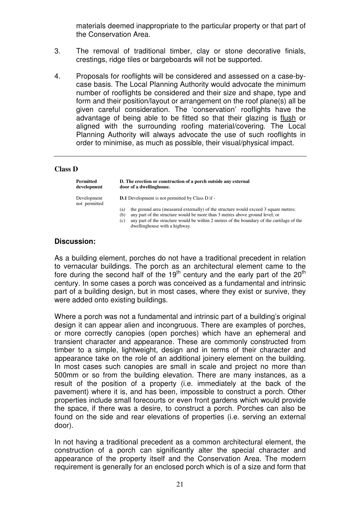materials deemed inappropriate to the particular property or that part of the Conservation Area.

- 3. The removal of traditional timber, clay or stone decorative finials, crestings, ridge tiles or bargeboards will not be supported.
- 4. Proposals for rooflights will be considered and assessed on a case-bycase basis. The Local Planning Authority would advocate the minimum number of rooflights be considered and their size and shape, type and form and their position/layout or arrangement on the roof plane(s) all be given careful consideration. The 'conservation' rooflights have the advantage of being able to be fitted so that their glazing is flush or aligned with the surrounding roofing material/covering. The Local Planning Authority will always advocate the use of such rooflights in order to minimise, as much as possible, their visual/physical impact.

#### **Class D**

| Permitted<br>development     | D. The erection or construction of a porch outside any external<br>door of a dwellinghouse.                                                                                                                                                                                        |  |  |
|------------------------------|------------------------------------------------------------------------------------------------------------------------------------------------------------------------------------------------------------------------------------------------------------------------------------|--|--|
| Development<br>not permitted | <b>D.1</b> Development is not permitted by Class D if -                                                                                                                                                                                                                            |  |  |
|                              | the ground area (measured externally) of the structure would exceed 3 square metres;<br>(a)<br>any part of the structure would be more than 3 metres above ground level; or<br>(b)<br>(a) any part of the structure would be within 2 metres of the boundary of the ovrtilege of t |  |  |

(c) any part of the structure would be within 2 metres of the boundary of the curtilage of the dwellinghouse with a highway.

#### **Discussion:**

As a building element, porches do not have a traditional precedent in relation to vernacular buildings. The porch as an architectural element came to the fore during the second half of the  $19<sup>th</sup>$  century and the early part of the  $20<sup>th</sup>$ century. In some cases a porch was conceived as a fundamental and intrinsic part of a building design, but in most cases, where they exist or survive, they were added onto existing buildings.

Where a porch was not a fundamental and intrinsic part of a building's original design it can appear alien and incongruous. There are examples of porches, or more correctly canopies (open porches) which have an ephemeral and transient character and appearance. These are commonly constructed from timber to a simple, lightweight, design and in terms of their character and appearance take on the role of an additional joinery element on the building. In most cases such canopies are small in scale and project no more than 500mm or so from the building elevation. There are many instances, as a result of the position of a property (i.e. immediately at the back of the pavement) where it is, and has been, impossible to construct a porch. Other properties include small forecourts or even front gardens which would provide the space, if there was a desire, to construct a porch. Porches can also be found on the side and rear elevations of properties (i.e. serving an external door).

In not having a traditional precedent as a common architectural element, the construction of a porch can significantly alter the special character and appearance of the property itself and the Conservation Area. The modern requirement is generally for an enclosed porch which is of a size and form that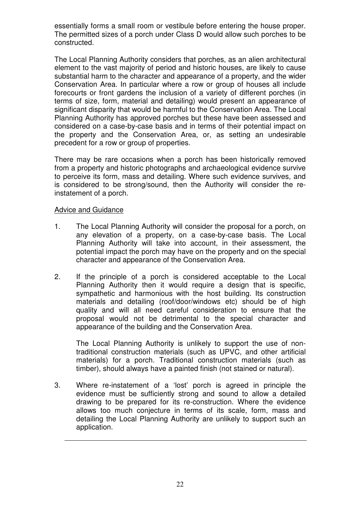essentially forms a small room or vestibule before entering the house proper. The permitted sizes of a porch under Class D would allow such porches to be constructed.

The Local Planning Authority considers that porches, as an alien architectural element to the vast majority of period and historic houses, are likely to cause substantial harm to the character and appearance of a property, and the wider Conservation Area. In particular where a row or group of houses all include forecourts or front gardens the inclusion of a variety of different porches (in terms of size, form, material and detailing) would present an appearance of significant disparity that would be harmful to the Conservation Area. The Local Planning Authority has approved porches but these have been assessed and considered on a case-by-case basis and in terms of their potential impact on the property and the Conservation Area, or, as setting an undesirable precedent for a row or group of properties.

There may be rare occasions when a porch has been historically removed from a property and historic photographs and archaeological evidence survive to perceive its form, mass and detailing. Where such evidence survives, and is considered to be strong/sound, then the Authority will consider the reinstatement of a porch.

#### Advice and Guidance

- 1. The Local Planning Authority will consider the proposal for a porch, on any elevation of a property, on a case-by-case basis. The Local Planning Authority will take into account, in their assessment, the potential impact the porch may have on the property and on the special character and appearance of the Conservation Area.
- 2. If the principle of a porch is considered acceptable to the Local Planning Authority then it would require a design that is specific, sympathetic and harmonious with the host building. Its construction materials and detailing (roof/door/windows etc) should be of high quality and will all need careful consideration to ensure that the proposal would not be detrimental to the special character and appearance of the building and the Conservation Area.

 The Local Planning Authority is unlikely to support the use of nontraditional construction materials (such as UPVC, and other artificial materials) for a porch. Traditional construction materials (such as timber), should always have a painted finish (not stained or natural).

3. Where re-instatement of a 'lost' porch is agreed in principle the evidence must be sufficiently strong and sound to allow a detailed drawing to be prepared for its re-construction. Where the evidence allows too much conjecture in terms of its scale, form, mass and detailing the Local Planning Authority are unlikely to support such an application.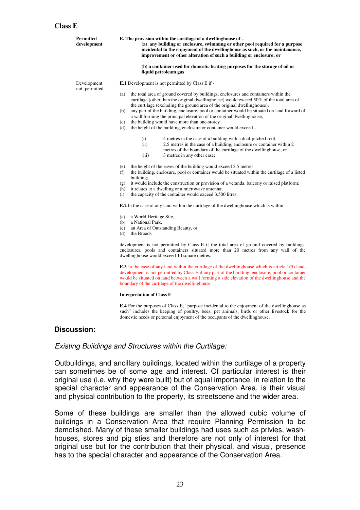#### **Class E**

| <b>Permitted</b><br>development | E. The provision within the curtilage of a dwellinghouse of –<br>(a) any building or enclosure, swimming or other pool required for a purpose<br>incidental to the enjoyment of the dwellinghouse as such, or the maintenance,<br>improvement or other alteration of such a building or enclosure; or                                                                                                                                                                                                                                                                                                                                                                                                                                                                                                                                                                                                                                                                                                                                                                                                                                                                                                                                                                                                                                                                                                                                                                                                                                                                                                                                                                                                                                                                                                                                                                                                                                                                                                                                                                                                                                                                                                                        |  |
|---------------------------------|------------------------------------------------------------------------------------------------------------------------------------------------------------------------------------------------------------------------------------------------------------------------------------------------------------------------------------------------------------------------------------------------------------------------------------------------------------------------------------------------------------------------------------------------------------------------------------------------------------------------------------------------------------------------------------------------------------------------------------------------------------------------------------------------------------------------------------------------------------------------------------------------------------------------------------------------------------------------------------------------------------------------------------------------------------------------------------------------------------------------------------------------------------------------------------------------------------------------------------------------------------------------------------------------------------------------------------------------------------------------------------------------------------------------------------------------------------------------------------------------------------------------------------------------------------------------------------------------------------------------------------------------------------------------------------------------------------------------------------------------------------------------------------------------------------------------------------------------------------------------------------------------------------------------------------------------------------------------------------------------------------------------------------------------------------------------------------------------------------------------------------------------------------------------------------------------------------------------------|--|
|                                 | (b) a container used for domestic heating purposes for the storage of oil or<br>liquid petroleum gas                                                                                                                                                                                                                                                                                                                                                                                                                                                                                                                                                                                                                                                                                                                                                                                                                                                                                                                                                                                                                                                                                                                                                                                                                                                                                                                                                                                                                                                                                                                                                                                                                                                                                                                                                                                                                                                                                                                                                                                                                                                                                                                         |  |
| Development<br>not permitted    | <b>E.1</b> Development is not permitted by Class E if -<br>the total area of ground covered by buildings, enclosures and containers within the<br>(a)<br>curtilage (other than the original dwellinghouse) would exceed 50% of the total area of<br>the curtilage (excluding the ground area of the original dwellinghouse);<br>any part of the building, enclosure, pool or container would be situated on land forward of<br>(b)<br>a wall forming the principal elevation of the original dwellinghouse;<br>the building would have more than one-storey<br>(c)<br>(d)<br>the height of the building, enclosure or container would exceed –<br>4 metres in the case of a building with a dual-pitched roof,<br>(i)<br>(ii)<br>2.5 metres in the case of a building, enclosure or container within 2<br>metres of the boundary of the curtilage of the dwellinghouse, or<br>(iii)<br>3 metres in any other case;<br>the height of the eaves of the building would exceed 2.5 metres;<br>(e)<br>(f)<br>the building, enclosure, pool or container would be situated within the curtilage of a listed<br>building;<br>it would include the construction or provision of a veranda, balcony or raised platform;<br>(g)<br>(h)<br>it relates to a dwelling or a microwave antenna;<br>(i)<br>the capacity of the container would exceed 3,500 litres.<br><b>E.2</b> In the case of any land within the curtilage of the dwellinghouse which is within -<br>a World Heritage Site,<br>(a)<br>(b) a National Park,<br>(c)<br>an Area of Outstanding Beauty, or<br>the Broads<br>(d)<br>development is not permitted by Class E if the total area of ground covered by buildings,<br>enclosures, pools and containers situated more than 20 metres from any wall of the<br>dwellinghouse would exceed 10 square metres.<br><b>E.3</b> In the case of any land within the curtilage of the dwellinghouse which is article 1(5) land,<br>development is not permitted by Class E if any part of the building, enclosure, pool or container<br>would be situated on land between a wall forming a side elevation of the dwellinghouse and the<br>boundary of the curtilage of the dwellinghouse.<br><b>Interpretation of Class E</b> |  |

**E.4** For the purposes of Class E, "purpose incidental to the enjoyment of the dwellinghouse as such" includes the keeping of poultry, bees, pet animals, birds or other livestock for the domestic needs or personal enjoyment of the occupants of the dwellinghouse.

#### **Discussion:**

#### Existing Buildings and Structures within the Curtilage:

Outbuildings, and ancillary buildings, located within the curtilage of a property can sometimes be of some age and interest. Of particular interest is their original use (i.e. why they were built) but of equal importance, in relation to the special character and appearance of the Conservation Area, is their visual and physical contribution to the property, its streetscene and the wider area.

Some of these buildings are smaller than the allowed cubic volume of buildings in a Conservation Area that require Planning Permission to be demolished. Many of these smaller buildings had uses such as privies, washhouses, stores and pig sties and therefore are not only of interest for that original use but for the contribution that their physical, and visual, presence has to the special character and appearance of the Conservation Area.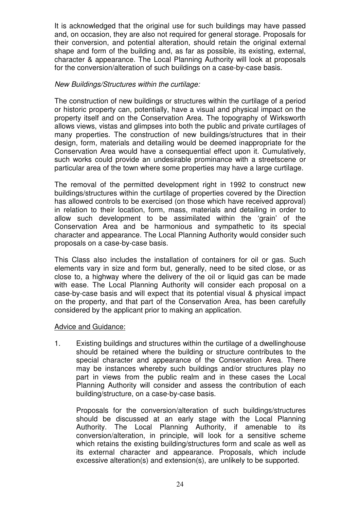It is acknowledged that the original use for such buildings may have passed and, on occasion, they are also not required for general storage. Proposals for their conversion, and potential alteration, should retain the original external shape and form of the building and, as far as possible, its existing, external, character & appearance. The Local Planning Authority will look at proposals for the conversion/alteration of such buildings on a case-by-case basis.

#### New Buildings/Structures within the curtilage:

The construction of new buildings or structures within the curtilage of a period or historic property can, potentially, have a visual and physical impact on the property itself and on the Conservation Area. The topography of Wirksworth allows views, vistas and glimpses into both the public and private curtilages of many properties. The construction of new buildings/structures that in their design, form, materials and detailing would be deemed inappropriate for the Conservation Area would have a consequential effect upon it. Cumulatively, such works could provide an undesirable prominance with a streetscene or particular area of the town where some properties may have a large curtilage.

The removal of the permitted development right in 1992 to construct new buildings/structures within the curtilage of properties covered by the Direction has allowed controls to be exercised (on those which have received approval) in relation to their location, form, mass, materials and detailing in order to allow such development to be assimilated within the 'grain' of the Conservation Area and be harmonious and sympathetic to its special character and appearance. The Local Planning Authority would consider such proposals on a case-by-case basis.

This Class also includes the installation of containers for oil or gas. Such elements vary in size and form but, generally, need to be sited close, or as close to, a highway where the delivery of the oil or liquid gas can be made with ease. The Local Planning Authority will consider each proposal on a case-by-case basis and will expect that its potential visual & physical impact on the property, and that part of the Conservation Area, has been carefully considered by the applicant prior to making an application.

#### Advice and Guidance:

1. Existing buildings and structures within the curtilage of a dwellinghouse should be retained where the building or structure contributes to the special character and appearance of the Conservation Area. There may be instances whereby such buildings and/or structures play no part in views from the public realm and in these cases the Local Planning Authority will consider and assess the contribution of each building/structure, on a case-by-case basis.

 Proposals for the conversion/alteration of such buildings/structures should be discussed at an early stage with the Local Planning Authority. The Local Planning Authority, if amenable to its conversion/alteration, in principle, will look for a sensitive scheme which retains the existing building/structures form and scale as well as its external character and appearance. Proposals, which include excessive alteration(s) and extension(s), are unlikely to be supported.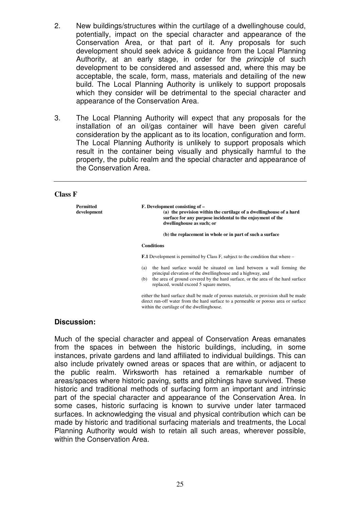- 2. New buildings/structures within the curtilage of a dwellinghouse could, potentially, impact on the special character and appearance of the Conservation Area, or that part of it. Any proposals for such development should seek advice & guidance from the Local Planning Authority, at an early stage, in order for the *principle* of such development to be considered and assessed and, where this may be acceptable, the scale, form, mass, materials and detailing of the new build. The Local Planning Authority is unlikely to support proposals which they consider will be detrimental to the special character and appearance of the Conservation Area.
- 3. The Local Planning Authority will expect that any proposals for the installation of an oil/gas container will have been given careful consideration by the applicant as to its location, configuration and form. The Local Planning Authority is unlikely to support proposals which result in the container being visually and physically harmful to the property, the public realm and the special character and appearance of the Conservation Area.

#### **Class F**

| <b>Permitted</b><br>development | F. Development consisting of –<br>(a) the provision within the curtilage of a dwellinghouse of a hard<br>surface for any purpose incidental to the enjoyment of the<br>dwellinghouse as such; or                                                                                 |
|---------------------------------|----------------------------------------------------------------------------------------------------------------------------------------------------------------------------------------------------------------------------------------------------------------------------------|
|                                 | (b) the replacement in whole or in part of such a surface                                                                                                                                                                                                                        |
|                                 | <b>Conditions</b>                                                                                                                                                                                                                                                                |
|                                 | <b>F.1</b> Development is permitted by Class F, subject to the condition that where –                                                                                                                                                                                            |
|                                 | the hard surface would be situated on land between a wall forming the<br>(a)<br>principal elevation of the dwellinghouse and a highway, and<br>the area of ground covered by the hard surface, or the area of the hard surface<br>(b)<br>replaced, would exceed 5 square metres, |
|                                 | either the hard surface shall be made of porous materials, or provision shall be made<br>direct run-off water from the hard surface to a permeable or porous area or surface                                                                                                     |

#### **Discussion:**

Much of the special character and appeal of Conservation Areas emanates from the spaces in between the historic buildings, including, in some instances, private gardens and land affiliated to individual buildings. This can also include privately owned areas or spaces that are within, or adjacent to the public realm. Wirksworth has retained a remarkable number of areas/spaces where historic paving, setts and pitchings have survived. These historic and traditional methods of surfacing form an important and intrinsic part of the special character and appearance of the Conservation Area. In some cases, historic surfacing is known to survive under later tarmaced surfaces. In acknowledging the visual and physical contribution which can be made by historic and traditional surfacing materials and treatments, the Local Planning Authority would wish to retain all such areas, wherever possible, within the Conservation Area.

within the curtilage of the dwellinghouse.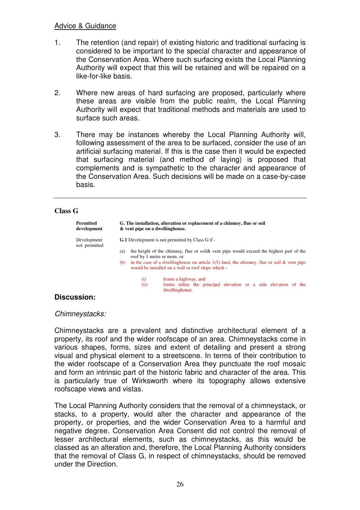#### Advice & Guidance

- 1. The retention (and repair) of existing historic and traditional surfacing is considered to be important to the special character and appearance of the Conservation Area. Where such surfacing exists the Local Planning Authority will expect that this will be retained and will be repaired on a like-for-like basis.
- 2. Where new areas of hard surfacing are proposed, particularly where these areas are visible from the public realm, the Local Planning Authority will expect that traditional methods and materials are used to surface such areas.
- 3. There may be instances whereby the Local Planning Authority will, following assessment of the area to be surfaced, consider the use of an artificial surfacing material. If this is the case then it would be expected that surfacing material (and method of laying) is proposed that complements and is sympathetic to the character and appearance of the Conservation Area. Such decisions will be made on a case-by-case basis.

#### **Class G**

| <b>Permitted</b><br>development | G. The installation, alteration or replacement of a chimney, flue or soil<br>& vent pipe on a dwellinghouse.                                              |  |  |
|---------------------------------|-----------------------------------------------------------------------------------------------------------------------------------------------------------|--|--|
| Development<br>not permitted    | <b>G.1</b> Development is not permitted by Class G if -                                                                                                   |  |  |
|                                 | the height of the chimney, flue or soil & vent pipe would exceed the highest part of the<br>(a)                                                           |  |  |
|                                 | roof by 1 metre or more, or                                                                                                                               |  |  |
|                                 | in the case of a dwellinghouse on article $1(5)$ land, the chimney, flue or soil & vent pipe<br>(b)<br>would be installed on a wall or roof slope which – |  |  |
|                                 | fronts a highway, and<br>$\rm(i)$                                                                                                                         |  |  |
|                                 | (ii)<br>forms either the principal elevation or a side elevation of the<br>dwellinghouse.                                                                 |  |  |
| <b>D: - - - - - - : - --</b> -  |                                                                                                                                                           |  |  |

#### **Discussion:**

#### Chimneystacks:

Chimneystacks are a prevalent and distinctive architectural element of a property, its roof and the wider roofscape of an area. Chimneystacks come in various shapes, forms, sizes and extent of detailing and present a strong visual and physical element to a streetscene. In terms of their contribution to the wider roofscape of a Conservation Area they punctuate the roof mosaic and form an intrinsic part of the historic fabric and character of the area. This is particularly true of Wirksworth where its topography allows extensive roofscape views and vistas.

The Local Planning Authority considers that the removal of a chimneystack, or stacks, to a property, would alter the character and appearance of the property, or properties, and the wider Conservation Area to a harmful and negative degree. Conservation Area Consent did not control the removal of lesser architectural elements, such as chimneystacks, as this would be classed as an alteration and, therefore, the Local Planning Authority considers that the removal of Class G, in respect of chimneystacks, should be removed under the Direction.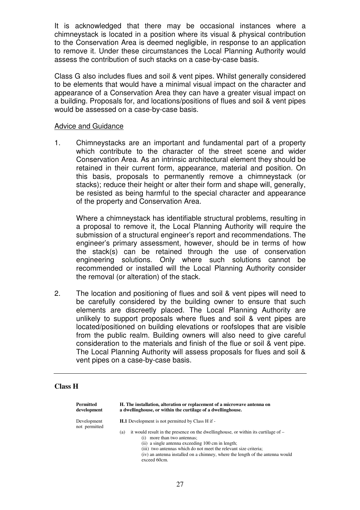It is acknowledged that there may be occasional instances where a chimneystack is located in a position where its visual & physical contribution to the Conservation Area is deemed negligible, in response to an application to remove it. Under these circumstances the Local Planning Authority would assess the contribution of such stacks on a case-by-case basis.

Class G also includes flues and soil & vent pipes. Whilst generally considered to be elements that would have a minimal visual impact on the character and appearance of a Conservation Area they can have a greater visual impact on a building. Proposals for, and locations/positions of flues and soil & vent pipes would be assessed on a case-by-case basis.

#### Advice and Guidance

1. Chimneystacks are an important and fundamental part of a property which contribute to the character of the street scene and wider Conservation Area. As an intrinsic architectural element they should be retained in their current form, appearance, material and position. On this basis, proposals to permanently remove a chimneystack (or stacks); reduce their height or alter their form and shape will, generally, be resisted as being harmful to the special character and appearance of the property and Conservation Area.

 Where a chimneystack has identifiable structural problems, resulting in a proposal to remove it, the Local Planning Authority will require the submission of a structural engineer's report and recommendations. The engineer's primary assessment, however, should be in terms of how the stack(s) can be retained through the use of conservation engineering solutions. Only where such solutions cannot be recommended or installed will the Local Planning Authority consider the removal (or alteration) of the stack.

2. The location and positioning of flues and soil & vent pipes will need to be carefully considered by the building owner to ensure that such elements are discreetly placed. The Local Planning Authority are unlikely to support proposals where flues and soil & vent pipes are located/positioned on building elevations or roofslopes that are visible from the public realm. Building owners will also need to give careful consideration to the materials and finish of the flue or soil & vent pipe. The Local Planning Authority will assess proposals for flues and soil & vent pipes on a case-by-case basis.

#### **Class H**

| Permitted<br>development     | H. The installation, alteration or replacement of a microwave antenna on<br>a dwellinghouse, or within the curtilage of a dwellinghouse.                                                                                                                                                                                                                |
|------------------------------|---------------------------------------------------------------------------------------------------------------------------------------------------------------------------------------------------------------------------------------------------------------------------------------------------------------------------------------------------------|
| Development<br>not permitted | <b>H.1</b> Development is not permitted by Class H if -                                                                                                                                                                                                                                                                                                 |
|                              | it would result in the presence on the dwellinghouse, or within its curtilage of $-$<br>(a)<br>more than two antennas;<br>(i)<br>(ii) a single antenna exceeding 100 cm in length;<br>(iii) two antennas which do not meet the relevant size criteria;<br>(iv) an antenna installed on a chimney, where the length of the antenna would<br>exceed 60cm. |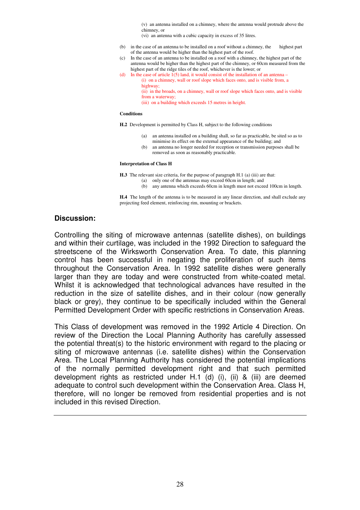(v) an antenna installed on a chimney, where the antenna would protrude above the chimney, or

(vi) an antenna with a cubic capacity in excess of 35 litres.

- (b) in the case of an antenna to be installed on a roof without a chimney, the highest part of the antenna would be higher than the highest part of the roof.
- (c) In the case of an antenna to be installed on a roof with a chimney, the highest part of the antenna would be higher than the highest part of the chimney, or 60cm measured from the highest part of the ridge tiles of the roof, whichever is the lower; or
- (d) In the case of article  $1(5)$  land, it would consist of the installation of an antenna (i) on a chimney, wall or roof slope which faces onto, and is visible from, a highway; (ii) in the broads, on a chimney, wall or roof slope which faces onto, and is visible from a waterway;

#### (iii) on a building which exceeds 15 metres in height.

#### **Conditions**

**H.2** Development is permitted by Class H, subject to the following conditions

- (a) an antenna installed on a building shall, so far as practicable, be sited so as to
- minimise its effect on the external appearance of the building; and
- (b) an antenna no longer needed for reception or transmission purposes shall be removed as soon as reasonably practicable.

#### **Interpretation of Class H**

**H.3** The relevant size criteria, for the purpose of paragraph H.1 (a) (iii) are that:

- (a) only one of the antennas may exceed 60cm in length; and
- (b) any antenna which exceeds 60cm in length must not exceed 100cm in length.

**H.4** The length of the antenna is to be measured in any linear direction, and shall exclude any projecting feed element, reinforcing rim, mounting or brackets.

#### **Discussion:**

Controlling the siting of microwave antennas (satellite dishes), on buildings and within their curtilage, was included in the 1992 Direction to safeguard the streetscene of the Wirksworth Conservation Area. To date, this planning control has been successful in negating the proliferation of such items throughout the Conservation Area. In 1992 satellite dishes were generally larger than they are today and were constructed from white-coated metal. Whilst it is acknowledged that technological advances have resulted in the reduction in the size of satellite dishes, and in their colour (now generally black or grey), they continue to be specifically included within the General Permitted Development Order with specific restrictions in Conservation Areas.

This Class of development was removed in the 1992 Article 4 Direction. On review of the Direction the Local Planning Authority has carefully assessed the potential threat(s) to the historic environment with regard to the placing or siting of microwave antennas (i.e. satellite dishes) within the Conservation Area. The Local Planning Authority has considered the potential implications of the normally permitted development right and that such permitted development rights as restricted under H.1 (d) (i), (ii) & (iii) are deemed adequate to control such development within the Conservation Area. Class H, therefore, will no longer be removed from residential properties and is not included in this revised Direction.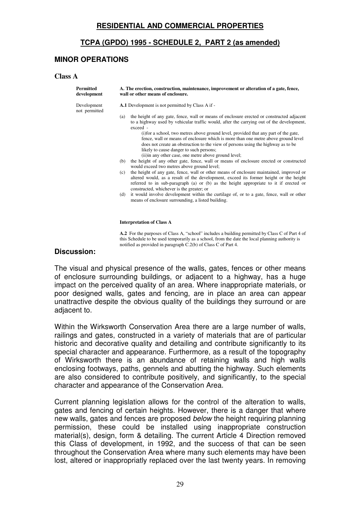#### **RESIDENTIAL AND COMMERCIAL PROPERTIES**

#### **TCPA (GPDO) 1995 - SCHEDULE 2, PART 2 (as amended)**

#### **MINOR OPERATIONS**

#### **Class A**

| Permitted<br>development     | A. The erection, construction, maintenance, improvement or alteration of a gate, fence,<br>wall or other means of enclosure.                                                                                                                                                                                                                                                                                                                                                                                                                                                                                                                                                                                                                                                                                                                                                                                                                                                                                                                                                                                                                                                                                            |  |
|------------------------------|-------------------------------------------------------------------------------------------------------------------------------------------------------------------------------------------------------------------------------------------------------------------------------------------------------------------------------------------------------------------------------------------------------------------------------------------------------------------------------------------------------------------------------------------------------------------------------------------------------------------------------------------------------------------------------------------------------------------------------------------------------------------------------------------------------------------------------------------------------------------------------------------------------------------------------------------------------------------------------------------------------------------------------------------------------------------------------------------------------------------------------------------------------------------------------------------------------------------------|--|
| Development<br>not permitted | A.1 Development is not permitted by Class A if -                                                                                                                                                                                                                                                                                                                                                                                                                                                                                                                                                                                                                                                                                                                                                                                                                                                                                                                                                                                                                                                                                                                                                                        |  |
|                              | the height of any gate, fence, wall or means of enclosure erected or constructed adjacent<br>(a)<br>to a highway used by vehicular traffic would, after the carrying out of the development,<br>exceed -<br>(i) for a school, two metres above ground level, provided that any part of the gate,<br>fence, wall or means of enclosure which is more than one metre above ground level<br>does not create an obstruction to the view of persons using the highway as to be<br>likely to cause danger to such persons;<br>(ii) in any other case, one metre above ground level;<br>the height of any other gate, fence, wall or means of enclosure erected or constructed<br>(b)<br>would exceed two metres above ground level;<br>the height of any gate, fence, wall or other means of enclosure maintained, improved or<br>(c)<br>altered would, as a result of the development, exceed its former height or the height<br>referred to in sub-paragraph (a) or (b) as the height appropriate to it if erected or<br>constructed, whichever is the greater; or<br>it would involve development within the curtilage of, or to a gate, fence, wall or other<br>(d)<br>means of enclosure surrounding, a listed building. |  |

#### **Interpretation of Class A**

**A.2** For the purposes of Class A, "school" includes a building permitted by Class C of Part 4 of this Schedule to be used temporarily as a school, from the date the local planning authority is notified as provided in paragraph C.2(b) of Class C of Part 4.

#### **Discussion:**

The visual and physical presence of the walls, gates, fences or other means of enclosure surrounding buildings, or adjacent to a highway, has a huge impact on the perceived quality of an area. Where inappropriate materials, or poor designed walls, gates and fencing, are in place an area can appear unattractive despite the obvious quality of the buildings they surround or are adjacent to.

Within the Wirksworth Conservation Area there are a large number of walls, railings and gates, constructed in a variety of materials that are of particular historic and decorative quality and detailing and contribute significantly to its special character and appearance. Furthermore, as a result of the topography of Wirksworth there is an abundance of retaining walls and high walls enclosing footways, paths, gennels and abutting the highway. Such elements are also considered to contribute positively, and significantly, to the special character and appearance of the Conservation Area.

Current planning legislation allows for the control of the alteration to walls, gates and fencing of certain heights. However, there is a danger that where new walls, gates and fences are proposed below the height requiring planning permission, these could be installed using inappropriate construction material(s), design, form & detailing. The current Article 4 Direction removed this Class of development, in 1992, and the success of that can be seen throughout the Conservation Area where many such elements may have been lost, altered or inappropriatly replaced over the last twenty years. In removing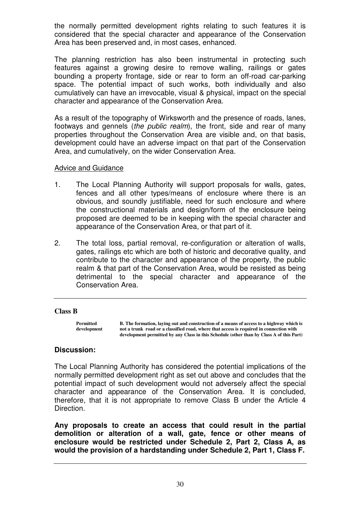the normally permitted development rights relating to such features it is considered that the special character and appearance of the Conservation Area has been preserved and, in most cases, enhanced.

The planning restriction has also been instrumental in protecting such features against a growing desire to remove walling, railings or gates bounding a property frontage, side or rear to form an off-road car-parking space. The potential impact of such works, both individually and also cumulatively can have an irrevocable, visual & physical, impact on the special character and appearance of the Conservation Area.

As a result of the topography of Wirksworth and the presence of roads, lanes, footways and gennels (the public realm), the front, side and rear of many properties throughout the Conservation Area are visible and, on that basis, development could have an adverse impact on that part of the Conservation Area, and cumulatively, on the wider Conservation Area.

#### Advice and Guidance

- 1. The Local Planning Authority will support proposals for walls, gates, fences and all other types/means of enclosure where there is an obvious, and soundly justifiable, need for such enclosure and where the constructional materials and design/form of the enclosure being proposed are deemed to be in keeping with the special character and appearance of the Conservation Area, or that part of it.
- 2. The total loss, partial removal, re-configuration or alteration of walls, gates, railings etc which are both of historic and decorative quality, and contribute to the character and appearance of the property, the public realm & that part of the Conservation Area, would be resisted as being detrimental to the special character and appearance of the Conservation Area.

#### **Class B**

**Permitted B. The formation, laying out and construction of a means of access to a highway which is development not a trunk road or a classified road, where that access is required in connection with development permitted by any Class in this Schedule (other than by Class A of this Part)** 

#### **Discussion:**

The Local Planning Authority has considered the potential implications of the normally permitted development right as set out above and concludes that the potential impact of such development would not adversely affect the special character and appearance of the Conservation Area. It is concluded, therefore, that it is not appropriate to remove Class B under the Article 4 Direction.

**Any proposals to create an access that could result in the partial demolition or alteration of a wall, gate, fence or other means of enclosure would be restricted under Schedule 2, Part 2, Class A, as would the provision of a hardstanding under Schedule 2, Part 1, Class F.**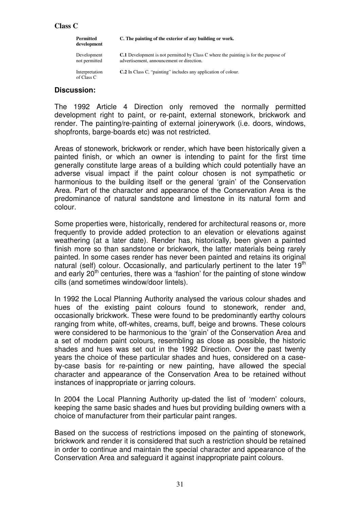#### **Class C**

| C. The painting of the exterior of any building or work.<br>Permitted<br>development |                                                                                                                                          |
|--------------------------------------------------------------------------------------|------------------------------------------------------------------------------------------------------------------------------------------|
| Development<br>not permitted                                                         | <b>C.1</b> Development is not permitted by Class C where the painting is for the purpose of<br>advertisement, announcement or direction. |
| Interpretation<br>of Class C                                                         | <b>C.2</b> In Class C, "painting" includes any application of colour.                                                                    |

#### **Discussion:**

The 1992 Article 4 Direction only removed the normally permitted development right to paint, or re-paint, external stonework, brickwork and render. The painting/re-painting of external joinerywork (i.e. doors, windows, shopfronts, barge-boards etc) was not restricted.

Areas of stonework, brickwork or render, which have been historically given a painted finish, or which an owner is intending to paint for the first time generally constitute large areas of a building which could potentially have an adverse visual impact if the paint colour chosen is not sympathetic or harmonious to the building itself or the general 'grain' of the Conservation Area. Part of the character and appearance of the Conservation Area is the predominance of natural sandstone and limestone in its natural form and colour.

Some properties were, historically, rendered for architectural reasons or, more frequently to provide added protection to an elevation or elevations against weathering (at a later date). Render has, historically, been given a painted finish more so than sandstone or brickwork, the latter materials being rarely painted. In some cases render has never been painted and retains its original natural (self) colour. Occasionally, and particularly pertinent to the later 19<sup>th</sup> and early  $20<sup>th</sup>$  centuries, there was a 'fashion' for the painting of stone window cills (and sometimes window/door lintels).

In 1992 the Local Planning Authority analysed the various colour shades and hues of the existing paint colours found to stonework, render and, occasionally brickwork. These were found to be predominantly earthy colours ranging from white, off-whites, creams, buff, beige and browns. These colours were considered to be harmonious to the 'grain' of the Conservation Area and a set of modern paint colours, resembling as close as possible, the historic shades and hues was set out in the 1992 Direction. Over the past twenty years the choice of these particular shades and hues, considered on a caseby-case basis for re-painting or new painting, have allowed the special character and appearance of the Conservation Area to be retained without instances of inappropriate or jarring colours.

In 2004 the Local Planning Authority up-dated the list of 'modern' colours, keeping the same basic shades and hues but providing building owners with a choice of manufacturer from their particular paint ranges.

Based on the success of restrictions imposed on the painting of stonework, brickwork and render it is considered that such a restriction should be retained in order to continue and maintain the special character and appearance of the Conservation Area and safeguard it against inappropriate paint colours.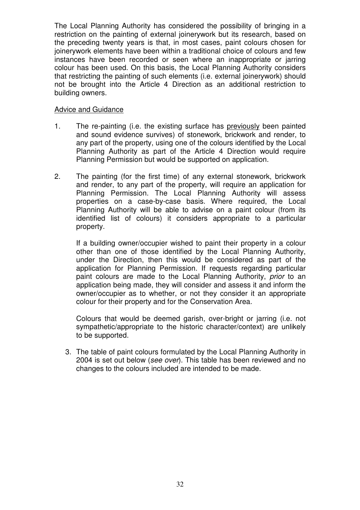The Local Planning Authority has considered the possibility of bringing in a restriction on the painting of external joinerywork but its research, based on the preceding twenty years is that, in most cases, paint colours chosen for joinerywork elements have been within a traditional choice of colours and few instances have been recorded or seen where an inappropriate or jarring colour has been used. On this basis, the Local Planning Authority considers that restricting the painting of such elements (i.e. external joinerywork) should not be brought into the Article 4 Direction as an additional restriction to building owners.

#### Advice and Guidance

- 1. The re-painting (i.e. the existing surface has previously been painted and sound evidence survives) of stonework, brickwork and render, to any part of the property, using one of the colours identified by the Local Planning Authority as part of the Article 4 Direction would require Planning Permission but would be supported on application.
- 2. The painting (for the first time) of any external stonework, brickwork and render, to any part of the property, will require an application for Planning Permission. The Local Planning Authority will assess properties on a case-by-case basis. Where required, the Local Planning Authority will be able to advise on a paint colour (from its identified list of colours) it considers appropriate to a particular property.

 If a building owner/occupier wished to paint their property in a colour other than one of those identified by the Local Planning Authority, under the Direction, then this would be considered as part of the application for Planning Permission. If requests regarding particular paint colours are made to the Local Planning Authority, *prior* to an application being made, they will consider and assess it and inform the owner/occupier as to whether, or not they consider it an appropriate colour for their property and for the Conservation Area.

Colours that would be deemed garish, over-bright or jarring (i.e. not sympathetic/appropriate to the historic character/context) are unlikely to be supported.

3. The table of paint colours formulated by the Local Planning Authority in 2004 is set out below (see over). This table has been reviewed and no changes to the colours included are intended to be made.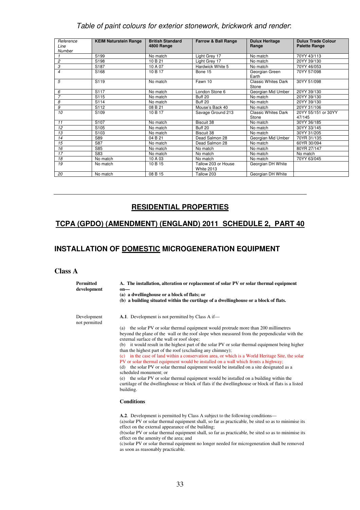#### Table of paint colours for exterior stonework, brickwork and render:

| Reference<br>Line<br>Number | <b>KEIM Naturstein Range</b> | <b>British Standard</b><br>4800 Range | <b>Farrow &amp; Ball Range</b>           | <b>Dulux Heritage</b><br>Range      | <b>Dulux Trade Colour</b><br><b>Palette Range</b> |
|-----------------------------|------------------------------|---------------------------------------|------------------------------------------|-------------------------------------|---------------------------------------------------|
|                             | S199                         | No match                              | Light Grey 17                            | No match                            | 70YY 43/113                                       |
| $\overline{c}$              | S198                         | 10 B 21                               | Light Grey 17                            | No match                            | 20YY 39/130                                       |
| 3                           | S <sub>187</sub>             | 10 A 07                               | Hardwick White 5                         | No match                            | 70YY 46/053                                       |
| $\overline{4}$              | S168                         | 10 B 17                               | Bone 15                                  | Georgian Green<br>Earth             | 70YY 57/098                                       |
| 5                           | S119                         | No match                              | Fawn 10                                  | <b>Classic Whites Dark</b><br>Stone | 30YY 51/098                                       |
| 6                           | S117                         | No match                              | London Stone 6                           | Georgian Mid Umber                  | 20YY 39/130                                       |
| $\overline{7}$              | S115                         | No match                              | Buff 20                                  | No match                            | 20YY 39/130                                       |
| 8                           | S <sub>114</sub>             | No match                              | Buff 20                                  | No match                            | 20YY 39/130                                       |
| 9                           | S112                         | 08 B 21                               | Mouse's Back 40                          | No match                            | 20YY 31/106                                       |
| 10                          | S <sub>109</sub>             | 10 B 17                               | Savage Ground 213                        | <b>Classic Whites Dark</b>          | 20YY 55/151 or 30YY                               |
|                             |                              |                                       |                                          | Stone                               | 47/145                                            |
| 11                          | S <sub>107</sub>             | No match                              | Biscuit 38                               | No match                            | 30YY 36/185                                       |
| 12                          | S <sub>105</sub>             | No match                              | Buff 20                                  | No match                            | 30YY 33/145                                       |
| 13                          | S <sub>103</sub>             | No match                              | Biscuit 38                               | No match                            | 30YY 31/205                                       |
| 14                          | S89                          | 04 B 21                               | Dead Salmon 28                           | Georgian Mid Umber                  | 70YR 31/135                                       |
| 15                          | S87                          | No match                              | Dead Salmon 28                           | No match                            | 60YR 30/094                                       |
| 16                          | S85                          | No match                              | No match                                 | No match                            | 80YR 27/147                                       |
| $\overline{17}$             | S83                          | No match                              | No match                                 | No match                            | No match                                          |
| 18                          | No match                     | 10 A 03                               | No match                                 | No match                            | 70YY 63/045                                       |
| 19                          | No match                     | 10 B 15                               | Tallow 203 or House<br><b>White 2013</b> | Georgian DH White                   |                                                   |
| 20                          | No match                     | 08 B 15                               | Tallow 203                               | Georgian DH White                   |                                                   |

#### **RESIDENTIAL PROPERTIES**

#### **TCPA (GPDO) (AMENDMENT) (ENGLAND) 2011 SCHEDULE 2, PART 40**

#### **INSTALLATION OF DOMESTIC MICROGENERATION EQUIPMENT**

#### **Class A**

| <b>Permitted</b><br>development | A. The installation, alteration or replacement of solar PV or solar thermal equipment<br>$on-$<br>(a) a dwellinghouse or a block of flats; or<br>(b) a building situated within the curtilage of a dwellinghouse or a block of flats.                                                                                                                                                        |
|---------------------------------|----------------------------------------------------------------------------------------------------------------------------------------------------------------------------------------------------------------------------------------------------------------------------------------------------------------------------------------------------------------------------------------------|
| Development<br>not permitted    | A.1. Development is not permitted by Class A if—<br>(a) the solar PV or solar thermal equipment would protrude more than 200 millimetres                                                                                                                                                                                                                                                     |
|                                 | beyond the plane of the wall or the roof slope when measured from the perpendicular with the<br>external surface of the wall or roof slope;                                                                                                                                                                                                                                                  |
|                                 | (b) it would result in the highest part of the solar PV or solar thermal equipment being higher<br>than the highest part of the roof (excluding any chimney);                                                                                                                                                                                                                                |
|                                 | (c) in the case of land within a conservation area, or which is a World Heritage Site, the solar<br>PV or solar thermal equipment would be installed on a wall which fronts a highway;                                                                                                                                                                                                       |
|                                 | (d) the solar PV or solar thermal equipment would be installed on a site designated as a<br>scheduled monument; or                                                                                                                                                                                                                                                                           |
|                                 | (e) the solar PV or solar thermal equipment would be installed on a building within the<br>curtilage of the dwellinghouse or block of flats if the dwellinghouse or block of flats is a listed<br>building.                                                                                                                                                                                  |
|                                 | <b>Conditions</b>                                                                                                                                                                                                                                                                                                                                                                            |
|                                 | A.2. Development is permitted by Class A subject to the following conditions—<br>(a) solar PV or solar thermal equipment shall, so far as practicable, be sited so as to minimise its<br>effect on the external appearance of the building;<br>(b)solar PV or solar thermal equipment shall, so far as practicable, be sited so as to minimise its<br>effect on the amenity of the area; and |

(c)solar PV or solar thermal equipment no longer needed for microgeneration shall be removed as soon as reasonably practicable.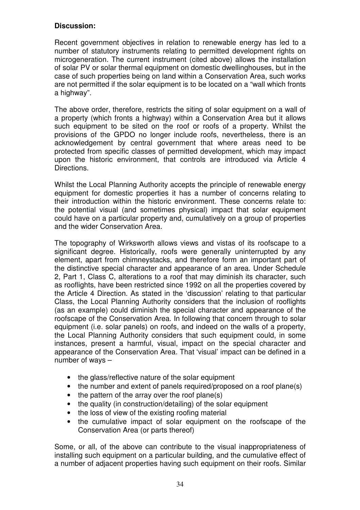#### **Discussion:**

Recent government objectives in relation to renewable energy has led to a number of statutory instruments relating to permitted development rights on microgeneration. The current instrument (cited above) allows the installation of solar PV or solar thermal equipment on domestic dwellinghouses, but in the case of such properties being on land within a Conservation Area, such works are not permitted if the solar equipment is to be located on a "wall which fronts a highway".

The above order, therefore, restricts the siting of solar equipment on a wall of a property (which fronts a highway) within a Conservation Area but it allows such equipment to be sited on the roof or roofs of a property. Whilst the provisions of the GPDO no longer include roofs, nevertheless, there is an acknowledgement by central government that where areas need to be protected from specific classes of permitted development, which may impact upon the historic environment, that controls are introduced via Article 4 Directions.

Whilst the Local Planning Authority accepts the principle of renewable energy equipment for domestic properties it has a number of concerns relating to their introduction within the historic environment. These concerns relate to: the potential visual (and sometimes physical) impact that solar equipment could have on a particular property and, cumulatively on a group of properties and the wider Conservation Area.

The topography of Wirksworth allows views and vistas of its roofscape to a significant degree. Historically, roofs were generally uninterrupted by any element, apart from chimneystacks, and therefore form an important part of the distinctive special character and appearance of an area. Under Schedule 2, Part 1, Class C, alterations to a roof that may diminish its character, such as rooflights, have been restricted since 1992 on all the properties covered by the Article 4 Direction. As stated in the 'discussion' relating to that particular Class, the Local Planning Authority considers that the inclusion of rooflights (as an example) could diminish the special character and appearance of the roofscape of the Conservation Area. In following that concern through to solar equipment (i.e. solar panels) on roofs, and indeed on the walls of a property, the Local Planning Authority considers that such equipment could, in some instances, present a harmful, visual, impact on the special character and appearance of the Conservation Area. That 'visual' impact can be defined in a number of ways –

- the glass/reflective nature of the solar equipment
- the number and extent of panels required/proposed on a roof plane(s)
- the pattern of the array over the roof plane(s)
- the quality (in construction/detailing) of the solar equipment
- the loss of view of the existing roofing material
- the cumulative impact of solar equipment on the roofscape of the Conservation Area (or parts thereof)

Some, or all, of the above can contribute to the visual inappropriateness of installing such equipment on a particular building, and the cumulative effect of a number of adjacent properties having such equipment on their roofs. Similar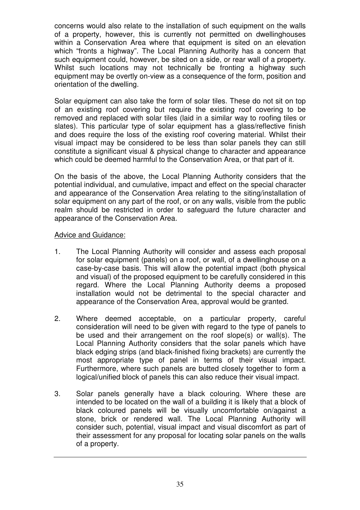concerns would also relate to the installation of such equipment on the walls of a property, however, this is currently not permitted on dwellinghouses within a Conservation Area where that equipment is sited on an elevation which "fronts a highway". The Local Planning Authority has a concern that such equipment could, however, be sited on a side, or rear wall of a property. Whilst such locations may not technically be fronting a highway such equipment may be overtly on-view as a consequence of the form, position and orientation of the dwelling.

Solar equipment can also take the form of solar tiles. These do not sit on top of an existing roof covering but require the existing roof covering to be removed and replaced with solar tiles (laid in a similar way to roofing tiles or slates). This particular type of solar equipment has a glass/reflective finish and does require the loss of the existing roof covering material. Whilst their visual impact may be considered to be less than solar panels they can still constitute a significant visual & physical change to character and appearance which could be deemed harmful to the Conservation Area, or that part of it.

On the basis of the above, the Local Planning Authority considers that the potential individual, and cumulative, impact and effect on the special character and appearance of the Conservation Area relating to the siting/installation of solar equipment on any part of the roof, or on any walls, visible from the public realm should be restricted in order to safeguard the future character and appearance of the Conservation Area.

#### Advice and Guidance:

- 1. The Local Planning Authority will consider and assess each proposal for solar equipment (panels) on a roof, or wall, of a dwellinghouse on a case-by-case basis. This will allow the potential impact (both physical and visual) of the proposed equipment to be carefully considered in this regard. Where the Local Planning Authority deems a proposed installation would not be detrimental to the special character and appearance of the Conservation Area, approval would be granted.
- 2. Where deemed acceptable, on a particular property, careful consideration will need to be given with regard to the type of panels to be used and their arrangement on the roof slope(s) or wall(s). The Local Planning Authority considers that the solar panels which have black edging strips (and black-finished fixing brackets) are currently the most appropriate type of panel in terms of their visual impact. Furthermore, where such panels are butted closely together to form a logical/unified block of panels this can also reduce their visual impact.
- 3. Solar panels generally have a black colouring. Where these are intended to be located on the wall of a building it is likely that a block of black coloured panels will be visually uncomfortable on/against a stone, brick or rendered wall. The Local Planning Authority will consider such, potential, visual impact and visual discomfort as part of their assessment for any proposal for locating solar panels on the walls of a property.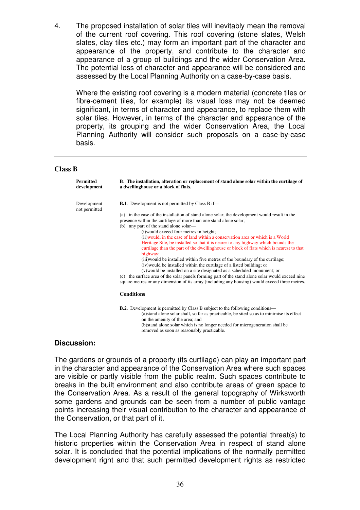4. The proposed installation of solar tiles will inevitably mean the removal of the current roof covering. This roof covering (stone slates, Welsh slates, clay tiles etc.) may form an important part of the character and appearance of the property, and contribute to the character and appearance of a group of buildings and the wider Conservation Area. The potential loss of character and appearance will be considered and assessed by the Local Planning Authority on a case-by-case basis.

 Where the existing roof covering is a modern material (concrete tiles or fibre-cement tiles, for example) its visual loss may not be deemed significant, in terms of character and appearance, to replace them with solar tiles. However, in terms of the character and appearance of the property, its grouping and the wider Conservation Area, the Local Planning Authority will consider such proposals on a case-by-case basis.

#### **Class B**

| <b>Permitted</b><br>development | B. The installation, alteration or replacement of stand alone solar within the curtilage of<br>a dwellinghouse or a block of flats.                                                                                                                                                                                                                                                                                                                                                                                                                                                                                                                                                                                  |
|---------------------------------|----------------------------------------------------------------------------------------------------------------------------------------------------------------------------------------------------------------------------------------------------------------------------------------------------------------------------------------------------------------------------------------------------------------------------------------------------------------------------------------------------------------------------------------------------------------------------------------------------------------------------------------------------------------------------------------------------------------------|
| Development<br>not permitted    | <b>B.1.</b> Development is not permitted by Class B if—                                                                                                                                                                                                                                                                                                                                                                                                                                                                                                                                                                                                                                                              |
|                                 | (a) in the case of the installation of stand alone solar, the development would result in the<br>presence within the curtilage of more than one stand alone solar;<br>(b) any part of the stand alone solar—                                                                                                                                                                                                                                                                                                                                                                                                                                                                                                         |
|                                 | (i) would exceed four metres in height;                                                                                                                                                                                                                                                                                                                                                                                                                                                                                                                                                                                                                                                                              |
|                                 | (ii) would, in the case of land within a conservation area or which is a World<br>Heritage Site, be installed so that it is nearer to any highway which bounds the<br>curtilage than the part of the dwellinghouse or block of flats which is nearest to that<br>highway;<br>(iii) would be installed within five metres of the boundary of the curtilage;<br>(iv) would be installed within the curtilage of a listed building; or<br>(v) would be installed on a site designated as a scheduled monument; or<br>(c) the surface area of the solar panels forming part of the stand alone solar would exceed nine<br>square metres or any dimension of its array (including any housing) would exceed three metres. |
|                                 | <b>Conditions</b>                                                                                                                                                                                                                                                                                                                                                                                                                                                                                                                                                                                                                                                                                                    |
|                                 | <b>B.2.</b> Development is permitted by Class B subject to the following conditions—<br>(a) stand alone solar shall, so far as practicable, be sited so as to minimise its effect<br>on the amenity of the area; and<br>(b) stand alone solar which is no longer needed for microgeneration shall be                                                                                                                                                                                                                                                                                                                                                                                                                 |

#### **Discussion:**

The gardens or grounds of a property (its curtilage) can play an important part in the character and appearance of the Conservation Area where such spaces are visible or partly visible from the public realm. Such spaces contribute to breaks in the built environment and also contribute areas of green space to the Conservation Area. As a result of the general topography of Wirksworth some gardens and grounds can be seen from a number of public vantage points increasing their visual contribution to the character and appearance of the Conservation, or that part of it.

removed as soon as reasonably practicable.

The Local Planning Authority has carefully assessed the potential threat(s) to historic properties within the Conservation Area in respect of stand alone solar. It is concluded that the potential implications of the normally permitted development right and that such permitted development rights as restricted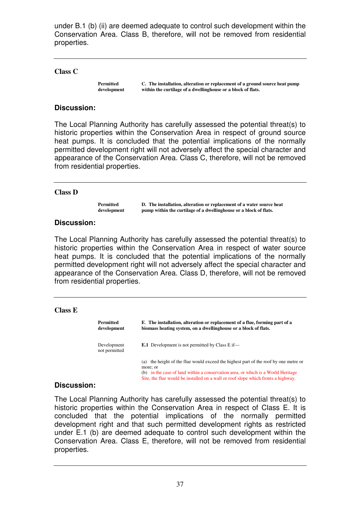under B.1 (b) (ii) are deemed adequate to control such development within the Conservation Area. Class B, therefore, will not be removed from residential properties.

#### **Class C**

**Permitted C. The installation, alteration or replacement of a ground source heat pump development within the curtilage of a dwellinghouse or a block of flats.**

#### **Discussion:**

The Local Planning Authority has carefully assessed the potential threat(s) to historic properties within the Conservation Area in respect of ground source heat pumps. It is concluded that the potential implications of the normally permitted development right will not adversely affect the special character and appearance of the Conservation Area. Class C, therefore, will not be removed from residential properties.

#### **Class D**

**Permitted D. The installation, alteration or replacement of a water source heat development pump within the curtilage of a dwellinghouse or a block of flats.**

#### **Discussion:**

The Local Planning Authority has carefully assessed the potential threat(s) to historic properties within the Conservation Area in respect of water source heat pumps. It is concluded that the potential implications of the normally permitted development right will not adversely affect the special character and appearance of the Conservation Area. Class D, therefore, will not be removed from residential properties.

#### **Class E**

| <b>Permitted</b><br>development |                              | E. The installation, alteration or replacement of a flue, forming part of a<br>biomass heating system, on a dwellinghouse or a block of flats.                                                                                                                               |  |  |
|---------------------------------|------------------------------|------------------------------------------------------------------------------------------------------------------------------------------------------------------------------------------------------------------------------------------------------------------------------|--|--|
|                                 | Development<br>not permitted | <b>E.1</b> Development is not permitted by Class E if—                                                                                                                                                                                                                       |  |  |
|                                 |                              | the height of the flue would exceed the highest part of the roof by one metre or<br>(a)<br>more; or<br>(b) in the case of land within a conservation area, or which is a World Heritage<br>Site, the flue would be installed on a wall or roof slope which fronts a highway. |  |  |

#### **Discussion:**

The Local Planning Authority has carefully assessed the potential threat(s) to historic properties within the Conservation Area in respect of Class E. It is concluded that the potential implications of the normally permitted development right and that such permitted development rights as restricted under E.1 (b) are deemed adequate to control such development within the Conservation Area. Class E, therefore, will not be removed from residential properties.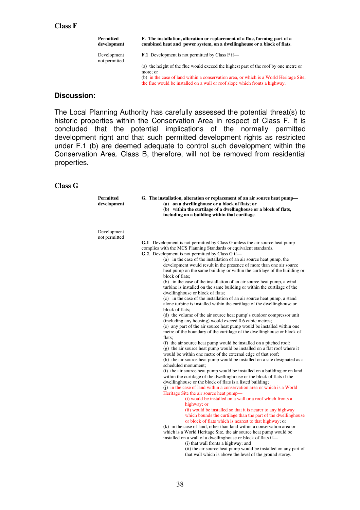**Class F** 

| Permitted<br>development     | F. The installation, alteration or replacement of a flue, forming part of a<br>combined heat and power system, on a dwellinghouse or a block of flats.                                     |
|------------------------------|--------------------------------------------------------------------------------------------------------------------------------------------------------------------------------------------|
| Development<br>not permitted | <b>F.1</b> Development is not permitted by Class F if—                                                                                                                                     |
|                              | (a) the height of the flue would exceed the highest part of the roof by one metre or<br>more; or<br>(b) in the case of land within a conservation area, or which is a World Heritage Site, |
|                              | the flue would be installed on a wall or roof slope which fronts a highway.                                                                                                                |

#### **Discussion:**

The Local Planning Authority has carefully assessed the potential threat(s) to historic properties within the Conservation Area in respect of Class F. It is concluded that the potential implications of the normally permitted development right and that such permitted development rights as restricted under F.1 (b) are deemed adequate to control such development within the Conservation Area. Class B, therefore, will not be removed from residential properties.

#### **Class G**

| <b>Permitted</b><br>development | G. The installation, alteration or replacement of an air source heat pump—<br>(a) on a dwellinghouse or a block of flats; or<br>(b) within the curtilage of a dwellinghouse or a block of flats,<br>including on a building within that curtilage.                                                                                                                                                                                                                                                                                                                                                                                                                                                                                                                                                                                                                                                                                                                                                                                                                                                                                                                                                                                                                                                                                                                                                                                                                                                                                                                                                                                                                                                                                                                                                                                                                                                                                                                                                                                                                                                                                                                                                                                                                                                                                                                                                                                                            |
|---------------------------------|---------------------------------------------------------------------------------------------------------------------------------------------------------------------------------------------------------------------------------------------------------------------------------------------------------------------------------------------------------------------------------------------------------------------------------------------------------------------------------------------------------------------------------------------------------------------------------------------------------------------------------------------------------------------------------------------------------------------------------------------------------------------------------------------------------------------------------------------------------------------------------------------------------------------------------------------------------------------------------------------------------------------------------------------------------------------------------------------------------------------------------------------------------------------------------------------------------------------------------------------------------------------------------------------------------------------------------------------------------------------------------------------------------------------------------------------------------------------------------------------------------------------------------------------------------------------------------------------------------------------------------------------------------------------------------------------------------------------------------------------------------------------------------------------------------------------------------------------------------------------------------------------------------------------------------------------------------------------------------------------------------------------------------------------------------------------------------------------------------------------------------------------------------------------------------------------------------------------------------------------------------------------------------------------------------------------------------------------------------------------------------------------------------------------------------------------------------------|
| Development<br>not permitted    | <b>G.1</b> Development is not permitted by Class G unless the air source heat pump<br>complies with the MCS Planning Standards or equivalent standards.<br><b>G.2.</b> Development is not permitted by Class G if—<br>(a) in the case of the installation of an air source heat pump, the<br>development would result in the presence of more than one air source<br>heat pump on the same building or within the curtilage of the building or<br>block of flats:<br>(b) in the case of the installation of an air source heat pump, a wind<br>turbine is installed on the same building or within the curtilage of the<br>dwellinghouse or block of flats;<br>(c) in the case of the installation of an air source heat pump, a stand<br>alone turbine is installed within the curtilage of the dwellinghouse or<br>block of flats:<br>(d) the volume of the air source heat pump's outdoor compressor unit<br>(including any housing) would exceed 0.6 cubic metres;<br>(e) any part of the air source heat pump would be installed within one<br>metre of the boundary of the curtilage of the dwellinghouse or block of<br>flats;<br>(f) the air source heat pump would be installed on a pitched roof;<br>(g) the air source heat pump would be installed on a flat roof where it<br>would be within one metre of the external edge of that roof;<br>(h) the air source heat pump would be installed on a site designated as a<br>scheduled monument;<br>(i) the air source heat pump would be installed on a building or on land<br>within the curtilage of the dwellinghouse or the block of flats if the<br>dwellinghouse or the block of flats is a listed building;<br>(j) in the case of land within a conservation area or which is a World<br>Heritage Site the air source heat pump—<br>(i) would be installed on a wall or a roof which fronts a<br>highway; or<br>(ii) would be installed so that it is nearer to any highway<br>which bounds the curtilage than the part of the dwellinghouse<br>or block of flats which is nearest to that highway; or<br>(k) in the case of land, other than land within a conservation area or<br>which is a World Heritage Site, the air source heat pump would be<br>installed on a wall of a dwellinghouse or block of flats if-<br>(i) that wall fronts a highway; and<br>(ii) the air source heat pump would be installed on any part of<br>that wall which is above the level of the ground storey. |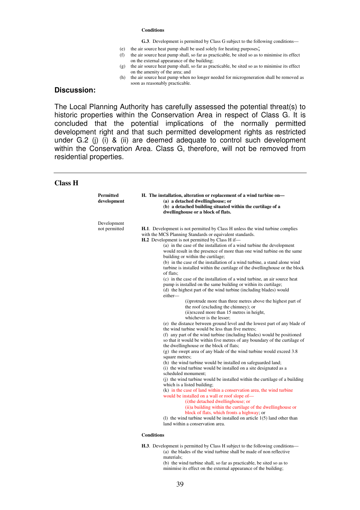#### **Conditions**

**G.3**. Development is permitted by Class G subject to the following conditions—

- (e) the air source heat pump shall be used solely for heating purposes;
- (f) the air source heat pump shall, so far as practicable, be sited so as to minimise its effect on the external appearance of the building;
- (g) the air source heat pump shall, so far as practicable, be sited so as to minimise its effect on the amenity of the area; and
- (h) the air source heat pump when no longer needed for microgeneration shall be removed as soon as reasonably practicable.

#### **Discussion:**

The Local Planning Authority has carefully assessed the potential threat(s) to historic properties within the Conservation Area in respect of Class G. It is concluded that the potential implications of the normally permitted development right and that such permitted development rights as restricted under G.2 (j) (i) & (ii) are deemed adequate to control such development within the Conservation Area. Class G, therefore, will not be removed from residential properties.

#### **Class H**

| <b>Permitted</b><br>development | H. The installation, alteration or replacement of a wind turbine on-<br>(a) a detached dwellinghouse; or<br>(b) a detached building situated within the curtilage of a<br>dwellinghouse or a block of flats.                                                                                                                                                                                                                                                                                                                                                                                                                                                                                                                                                                                                                                                                                                                                                                                                                                                                                                                                                                                                                                                                                                                                                                                                                                                                                                                                                                                                                                                                                                                                                                                                                                                                                                                                                                                                                                                                                     |
|---------------------------------|--------------------------------------------------------------------------------------------------------------------------------------------------------------------------------------------------------------------------------------------------------------------------------------------------------------------------------------------------------------------------------------------------------------------------------------------------------------------------------------------------------------------------------------------------------------------------------------------------------------------------------------------------------------------------------------------------------------------------------------------------------------------------------------------------------------------------------------------------------------------------------------------------------------------------------------------------------------------------------------------------------------------------------------------------------------------------------------------------------------------------------------------------------------------------------------------------------------------------------------------------------------------------------------------------------------------------------------------------------------------------------------------------------------------------------------------------------------------------------------------------------------------------------------------------------------------------------------------------------------------------------------------------------------------------------------------------------------------------------------------------------------------------------------------------------------------------------------------------------------------------------------------------------------------------------------------------------------------------------------------------------------------------------------------------------------------------------------------------|
| Development<br>not permitted    | <b>H.1</b> . Development is not permitted by Class H unless the wind turbine complies<br>with the MCS Planning Standards or equivalent standards.<br>H.2 Development is not permitted by Class H if-<br>(a) in the case of the installation of a wind turbine the development<br>would result in the presence of more than one wind turbine on the same<br>building or within the curtilage;<br>(b) in the case of the installation of a wind turbine, a stand alone wind<br>turbine is installed within the curtilage of the dwellinghouse or the block<br>of flats:<br>(c) in the case of the installation of a wind turbine, an air source heat<br>pump is installed on the same building or within its curtilage;<br>(d) the highest part of the wind turbine (including blades) would<br>either-<br>(i) protrude more than three metres above the highest part of<br>the roof (excluding the chimney); or<br>(ii)exceed more than 15 metres in height,<br>whichever is the lesser:<br>(e) the distance between ground level and the lowest part of any blade of<br>the wind turbine would be less than five metres;<br>(f) any part of the wind turbine (including blades) would be positioned<br>so that it would be within five metres of any boundary of the curtilage of<br>the dwellinghouse or the block of flats;<br>$(g)$ the swept area of any blade of the wind turbine would exceed 3.8<br>square metres;<br>(h) the wind turbine would be installed on safeguarded land;<br>(i) the wind turbine would be installed on a site designated as a<br>scheduled monument:<br>(j) the wind turbine would be installed within the curtilage of a building<br>which is a listed building;<br>(k) in the case of land within a conservation area, the wind turbine<br>would be installed on a wall or roof slope of-<br>(i) the detached dwellinghouse; or<br>(ii)a building within the curtilage of the dwellinghouse or<br>block of flats, which fronts a highway; or<br>(1) the wind turbine would be installed on article $1(5)$ land other than<br>land within a conservation area. |
|                                 | <b>Conditions</b>                                                                                                                                                                                                                                                                                                                                                                                                                                                                                                                                                                                                                                                                                                                                                                                                                                                                                                                                                                                                                                                                                                                                                                                                                                                                                                                                                                                                                                                                                                                                                                                                                                                                                                                                                                                                                                                                                                                                                                                                                                                                                |

**H.3**. Development is permitted by Class H subject to the following conditions— (a) the blades of the wind turbine shall be made of non reflective materials;

> (b) the wind turbine shall, so far as practicable, be sited so as to minimise its effect on the external appearance of the building;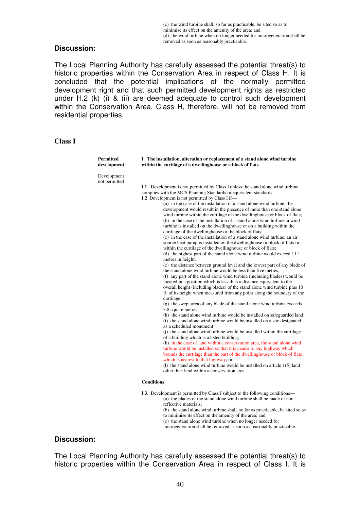(c) the wind turbine shall, so far as practicable, be sited so as to minimise its effect on the amenity of the area; and (d) the wind turbine when no longer needed for microgeneration shall be removed as soon as reasonably practicable.

#### **Discussion:**

The Local Planning Authority has carefully assessed the potential threat(s) to historic properties within the Conservation Area in respect of Class H. It is concluded that the potential implications of the normally permitted development right and that such permitted development rights as restricted under H.2 (k) (i) & (ii) are deemed adequate to control such development within the Conservation Area. Class H, therefore, will not be removed from residential properties.

#### **Class I**

| <b>Permitted</b><br>development | I. The installation, alteration or replacement of a stand alone wind turbine<br>within the curtilage of a dwellinghouse or a block of flats.                                                                                                                                                                                                                                                                                                                                                                                                                                                                                                                                                                                                                                                                                                                                                                                                                                                                                                                                                                                                                                                                                                                                                                                                                                                                                                                                                                                                                                                                                                                                                                                                                                                                                                                                                                                                                                                                                                                                                                                                                                                                                             |
|---------------------------------|------------------------------------------------------------------------------------------------------------------------------------------------------------------------------------------------------------------------------------------------------------------------------------------------------------------------------------------------------------------------------------------------------------------------------------------------------------------------------------------------------------------------------------------------------------------------------------------------------------------------------------------------------------------------------------------------------------------------------------------------------------------------------------------------------------------------------------------------------------------------------------------------------------------------------------------------------------------------------------------------------------------------------------------------------------------------------------------------------------------------------------------------------------------------------------------------------------------------------------------------------------------------------------------------------------------------------------------------------------------------------------------------------------------------------------------------------------------------------------------------------------------------------------------------------------------------------------------------------------------------------------------------------------------------------------------------------------------------------------------------------------------------------------------------------------------------------------------------------------------------------------------------------------------------------------------------------------------------------------------------------------------------------------------------------------------------------------------------------------------------------------------------------------------------------------------------------------------------------------------|
| Development<br>not permitted    | <b>I.1.</b> Development is not permitted by Class I unless the stand alone wind turbine<br>complies with the MCS Planning Standards or equivalent standards.<br><b>I.2</b> Development is not permitted by Class I if—<br>(a) in the case of the installation of a stand alone wind turbine, the<br>development would result in the presence of more than one stand alone<br>wind turbine within the curtilage of the dwellinghouse or block of flats;<br>(b) in the case of the installation of a stand alone wind turbine, a wind<br>turbine is installed on the dwellinghouse or on a building within the<br>curtilage of the dwellinghouse or the block of flats;<br>(c) in the case of the installation of a stand alone wind turbine, an air<br>source heat pump is installed on the dwellinghouse or block of flats or<br>within the curtilage of the dwellinghouse or block of flats;<br>(d) the highest part of the stand alone wind turbine would exceed 11.1<br>metres in height;<br>(e) the distance between ground level and the lowest part of any blade of<br>the stand alone wind turbine would be less than five metres;<br>(f) any part of the stand alone wind turbine (including blades) would be<br>located in a position which is less than a distance equivalent to the<br>overall height (including blades) of the stand alone wind turbine plus 10<br>% of its height when measured from any point along the boundary of the<br>curtilage;<br>(g) the swept area of any blade of the stand alone wind turbine exceeds<br>3.8 square metres;<br>(h) the stand alone wind turbine would be installed on safeguarded land;<br>(i) the stand alone wind turbine would be installed on a site designated<br>as a scheduled monument:<br>(j) the stand alone wind turbine would be installed within the curtilage<br>of a building which is a listed building;<br>(k) in the case of land within a conservation area, the stand alone wind<br>turbine would be installed so that it is nearer to any highway which<br>bounds the curtilage than the part of the dwellinghouse or block of flats<br>which is nearest to that highway; or<br>(1) the stand alone wind turbine would be installed on article $1(5)$ land |
|                                 | other than land within a conservation area.                                                                                                                                                                                                                                                                                                                                                                                                                                                                                                                                                                                                                                                                                                                                                                                                                                                                                                                                                                                                                                                                                                                                                                                                                                                                                                                                                                                                                                                                                                                                                                                                                                                                                                                                                                                                                                                                                                                                                                                                                                                                                                                                                                                              |
|                                 | <b>Conditions</b>                                                                                                                                                                                                                                                                                                                                                                                                                                                                                                                                                                                                                                                                                                                                                                                                                                                                                                                                                                                                                                                                                                                                                                                                                                                                                                                                                                                                                                                                                                                                                                                                                                                                                                                                                                                                                                                                                                                                                                                                                                                                                                                                                                                                                        |
|                                 | <b>I.3.</b> Development is permitted by Class I subject to the following conditions—<br>(a) the blades of the stand alone wind turbine shall be made of non<br>reflective materials;<br>(b) the stand alone wind turbine shall, so far as practicable, be sited so as                                                                                                                                                                                                                                                                                                                                                                                                                                                                                                                                                                                                                                                                                                                                                                                                                                                                                                                                                                                                                                                                                                                                                                                                                                                                                                                                                                                                                                                                                                                                                                                                                                                                                                                                                                                                                                                                                                                                                                    |

to minimise its effect on the amenity of the area; and (c) the stand alone wind turbine when no longer needed for

microgeneration shall be removed as soon as reasonably practicable.

#### **Discussion:**

The Local Planning Authority has carefully assessed the potential threat(s) to historic properties within the Conservation Area in respect of Class I. It is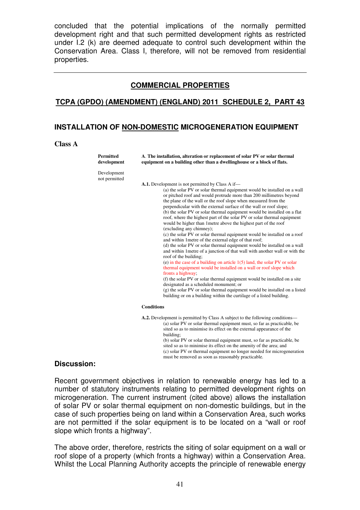concluded that the potential implications of the normally permitted development right and that such permitted development rights as restricted under I.2 (k) are deemed adequate to control such development within the Conservation Area. Class I, therefore, will not be removed from residential properties.

#### **COMMERCIAL PROPERTIES**

#### **TCPA (GPDO) (AMENDMENT) (ENGLAND) 2011 SCHEDULE 2, PART 43**

#### **INSTALLATION OF NON-DOMESTIC MICROGENERATION EQUIPMENT**

**Class A** 

| <b>Permitted</b><br>development | A. The installation, alteration or replacement of solar PV or solar thermal<br>equipment on a building other than a dwellinghouse or a block of flats.                                                                                                                                                                                                                                                                                                                                                                                                                                                                                                                                                                                                                                                                                                                                                                                                                                                                                                                                                                                                                                                                                                                                                                                                                           |
|---------------------------------|----------------------------------------------------------------------------------------------------------------------------------------------------------------------------------------------------------------------------------------------------------------------------------------------------------------------------------------------------------------------------------------------------------------------------------------------------------------------------------------------------------------------------------------------------------------------------------------------------------------------------------------------------------------------------------------------------------------------------------------------------------------------------------------------------------------------------------------------------------------------------------------------------------------------------------------------------------------------------------------------------------------------------------------------------------------------------------------------------------------------------------------------------------------------------------------------------------------------------------------------------------------------------------------------------------------------------------------------------------------------------------|
| Development<br>not permitted    |                                                                                                                                                                                                                                                                                                                                                                                                                                                                                                                                                                                                                                                                                                                                                                                                                                                                                                                                                                                                                                                                                                                                                                                                                                                                                                                                                                                  |
|                                 | A.1. Development is not permitted by Class A if—<br>(a) the solar PV or solar thermal equipment would be installed on a wall<br>or pitched roof and would protrude more than 200 millimetres beyond<br>the plane of the wall or the roof slope when measured from the<br>perpendicular with the external surface of the wall or roof slope;<br>(b) the solar PV or solar thermal equipment would be installed on a flat<br>roof, where the highest part of the solar PV or solar thermal equipment<br>would be higher than 1 metre above the highest part of the roof<br>(excluding any chimney);<br>(c) the solar PV or solar thermal equipment would be installed on a roof<br>and within 1 metre of the external edge of that roof;<br>(d) the solar PV or solar thermal equipment would be installed on a wall<br>and within 1 metre of a junction of that wall with another wall or with the<br>roof of the building;<br>(e) in the case of a building on article $1(5)$ land, the solar PV or solar<br>thermal equipment would be installed on a wall or roof slope which<br>fronts a highway;<br>(f) the solar PV or solar thermal equipment would be installed on a site<br>designated as a scheduled monument; or<br>(g) the solar PV or solar thermal equipment would be installed on a listed<br>building or on a building within the curtilage of a listed building. |
|                                 | <b>Conditions</b>                                                                                                                                                                                                                                                                                                                                                                                                                                                                                                                                                                                                                                                                                                                                                                                                                                                                                                                                                                                                                                                                                                                                                                                                                                                                                                                                                                |
|                                 | A.2. Development is permitted by Class A subject to the following conditions—<br>(a) solar PV or solar thermal equipment must, so far as practicable, be<br>sited so as to minimise its effect on the external appearance of the<br>building;<br>(b) solar PV or solar thermal equipment must, so far as practicable, be<br>sited so as to minimise its effect on the amenity of the area; and<br>(c) solar PV or thermal equipment no longer needed for microgeneration                                                                                                                                                                                                                                                                                                                                                                                                                                                                                                                                                                                                                                                                                                                                                                                                                                                                                                         |

must be removed as soon as reasonably practicable.

#### **Discussion:**

Recent government objectives in relation to renewable energy has led to a number of statutory instruments relating to permitted development rights on microgeneration. The current instrument (cited above) allows the installation of solar PV or solar thermal equipment on non-domestic buildings, but in the case of such properties being on land within a Conservation Area, such works are not permitted if the solar equipment is to be located on a "wall or roof slope which fronts a highway".

The above order, therefore, restricts the siting of solar equipment on a wall or roof slope of a property (which fronts a highway) within a Conservation Area. Whilst the Local Planning Authority accepts the principle of renewable energy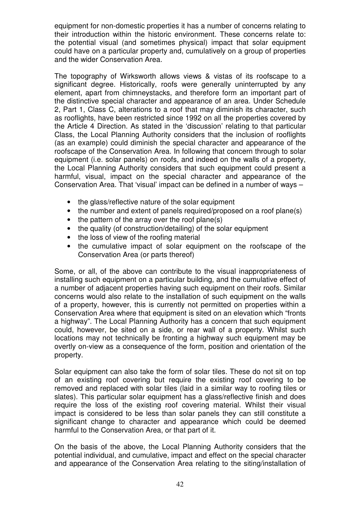equipment for non-domestic properties it has a number of concerns relating to their introduction within the historic environment. These concerns relate to: the potential visual (and sometimes physical) impact that solar equipment could have on a particular property and, cumulatively on a group of properties and the wider Conservation Area.

The topography of Wirksworth allows views & vistas of its roofscape to a significant degree. Historically, roofs were generally uninterrupted by any element, apart from chimneystacks, and therefore form an important part of the distinctive special character and appearance of an area. Under Schedule 2, Part 1, Class C, alterations to a roof that may diminish its character, such as rooflights, have been restricted since 1992 on all the properties covered by the Article 4 Direction. As stated in the 'discussion' relating to that particular Class, the Local Planning Authority considers that the inclusion of rooflights (as an example) could diminish the special character and appearance of the roofscape of the Conservation Area. In following that concern through to solar equipment (i.e. solar panels) on roofs, and indeed on the walls of a property, the Local Planning Authority considers that such equipment could present a harmful, visual, impact on the special character and appearance of the Conservation Area. That 'visual' impact can be defined in a number of ways –

- the glass/reflective nature of the solar equipment
- the number and extent of panels required/proposed on a roof plane(s)
- the pattern of the array over the roof plane(s)
- the quality (of construction/detailing) of the solar equipment
- the loss of view of the roofing material
- the cumulative impact of solar equipment on the roofscape of the Conservation Area (or parts thereof)

Some, or all, of the above can contribute to the visual inappropriateness of installing such equipment on a particular building, and the cumulative effect of a number of adjacent properties having such equipment on their roofs. Similar concerns would also relate to the installation of such equipment on the walls of a property, however, this is currently not permitted on properties within a Conservation Area where that equipment is sited on an elevation which "fronts a highway". The Local Planning Authority has a concern that such equipment could, however, be sited on a side, or rear wall of a property. Whilst such locations may not technically be fronting a highway such equipment may be overtly on-view as a consequence of the form, position and orientation of the property.

Solar equipment can also take the form of solar tiles. These do not sit on top of an existing roof covering but require the existing roof covering to be removed and replaced with solar tiles (laid in a similar way to roofing tiles or slates). This particular solar equipment has a glass/reflective finish and does require the loss of the existing roof covering material. Whilst their visual impact is considered to be less than solar panels they can still constitute a significant change to character and appearance which could be deemed harmful to the Conservation Area, or that part of it.

On the basis of the above, the Local Planning Authority considers that the potential individual, and cumulative, impact and effect on the special character and appearance of the Conservation Area relating to the siting/installation of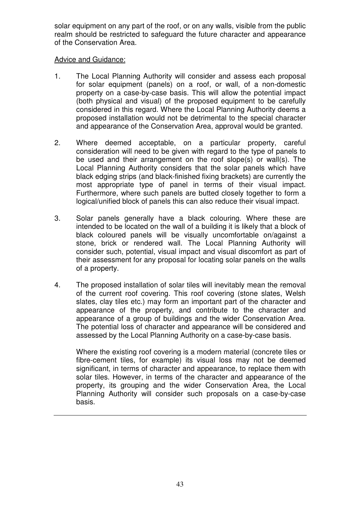solar equipment on any part of the roof, or on any walls, visible from the public realm should be restricted to safeguard the future character and appearance of the Conservation Area.

#### Advice and Guidance:

- 1. The Local Planning Authority will consider and assess each proposal for solar equipment (panels) on a roof, or wall, of a non-domestic property on a case-by-case basis. This will allow the potential impact (both physical and visual) of the proposed equipment to be carefully considered in this regard. Where the Local Planning Authority deems a proposed installation would not be detrimental to the special character and appearance of the Conservation Area, approval would be granted.
- 2. Where deemed acceptable, on a particular property, careful consideration will need to be given with regard to the type of panels to be used and their arrangement on the roof slope(s) or wall(s). The Local Planning Authority considers that the solar panels which have black edging strips (and black-finished fixing brackets) are currently the most appropriate type of panel in terms of their visual impact. Furthermore, where such panels are butted closely together to form a logical/unified block of panels this can also reduce their visual impact.
- 3. Solar panels generally have a black colouring. Where these are intended to be located on the wall of a building it is likely that a block of black coloured panels will be visually uncomfortable on/against a stone, brick or rendered wall. The Local Planning Authority will consider such, potential, visual impact and visual discomfort as part of their assessment for any proposal for locating solar panels on the walls of a property.
- 4. The proposed installation of solar tiles will inevitably mean the removal of the current roof covering. This roof covering (stone slates, Welsh slates, clay tiles etc.) may form an important part of the character and appearance of the property, and contribute to the character and appearance of a group of buildings and the wider Conservation Area. The potential loss of character and appearance will be considered and assessed by the Local Planning Authority on a case-by-case basis.

 Where the existing roof covering is a modern material (concrete tiles or fibre-cement tiles, for example) its visual loss may not be deemed significant, in terms of character and appearance, to replace them with solar tiles. However, in terms of the character and appearance of the property, its grouping and the wider Conservation Area, the Local Planning Authority will consider such proposals on a case-by-case basis.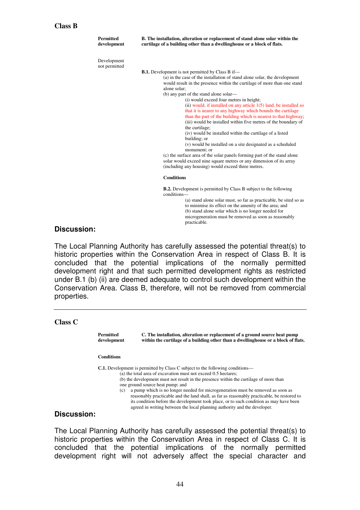#### **Class B**

| <b>Permitted</b><br>development | B. The installation, alteration or replacement of stand alone solar within the<br>curtilage of a building other than a dwellinghouse or a block of flats.                                                                                                                                  |
|---------------------------------|--------------------------------------------------------------------------------------------------------------------------------------------------------------------------------------------------------------------------------------------------------------------------------------------|
| Development<br>not permitted    |                                                                                                                                                                                                                                                                                            |
|                                 | <b>B.1.</b> Development is not permitted by Class B if—                                                                                                                                                                                                                                    |
|                                 | (a) in the case of the installation of stand alone solar, the development<br>would result in the presence within the curtilage of more than one stand<br>alone solar;                                                                                                                      |
|                                 | (b) any part of the stand alone solar—                                                                                                                                                                                                                                                     |
|                                 | (i) would exceed four metres in height;                                                                                                                                                                                                                                                    |
|                                 | (ii) would, if installed on any article $1(5)$ land, be installed so<br>that it is nearer to any highway which bounds the curtilage<br>than the part of the building which is nearest to that highway;<br>(iii) would be installed within five metres of the boundary of<br>the curtilage; |
|                                 | (iv) would be installed within the curtilage of a listed<br>building; or                                                                                                                                                                                                                   |
|                                 | (v) would be installed on a site designated as a scheduled<br>monument; or                                                                                                                                                                                                                 |
|                                 | (c) the surface area of the solar panels forming part of the stand alone<br>solar would exceed nine square metres or any dimension of its array<br>(including any housing) would exceed three metres.                                                                                      |
|                                 | <b>Conditions</b>                                                                                                                                                                                                                                                                          |
|                                 | <b>B.2.</b> Development is permitted by Class B subject to the following<br>conditions-                                                                                                                                                                                                    |
|                                 | (a) stand alone solar must, so far as practicable, be sited so as                                                                                                                                                                                                                          |

olar must, so far as practicable, be sited so as to minimise its effect on the amenity of the area; and (b) stand alone solar which is no longer needed for microgeneration must be removed as soon as reasonably practicable.

#### **Discussion:**

The Local Planning Authority has carefully assessed the potential threat(s) to historic properties within the Conservation Area in respect of Class B. It is concluded that the potential implications of the normally permitted development right and that such permitted development rights as restricted under B.1 (b) (ii) are deemed adequate to control such development within the Conservation Area. Class B, therefore, will not be removed from commercial properties.

#### **Class C**

| <b>Permitted</b><br>development | C. The installation, alteration or replacement of a ground source heat pump<br>within the curtilage of a building other than a dwellinghouse or a block of flats. |
|---------------------------------|-------------------------------------------------------------------------------------------------------------------------------------------------------------------|
| <b>Conditions</b>               |                                                                                                                                                                   |
|                                 | <b>C.1.</b> Development is permitted by Class C subject to the following conditions—                                                                              |
|                                 | (a) the total area of excavation must not exceed 0.5 hectares;                                                                                                    |
|                                 | (b) the development must not result in the presence within the curtilage of more than                                                                             |
|                                 | one ground source heat pump; and                                                                                                                                  |
| (c)                             | a pump which is no longer needed for microgeneration must be removed as soon as                                                                                   |
|                                 | reasonably practicable and the land shall, as far as reasonably practicable, be restored to                                                                       |
|                                 | its condition before the development took place, or to such condition as may have been                                                                            |
|                                 | agreed in writing between the local planning authority and the developer.                                                                                         |

#### **Discussion:**

The Local Planning Authority has carefully assessed the potential threat(s) to historic properties within the Conservation Area in respect of Class C. It is concluded that the potential implications of the normally permitted development right will not adversely affect the special character and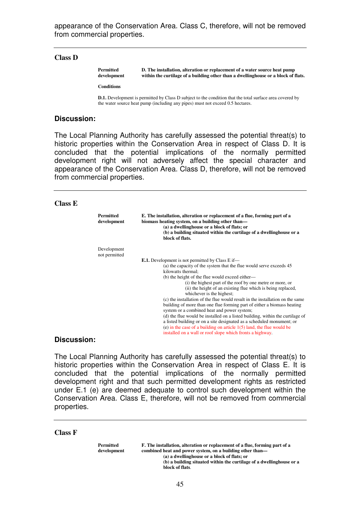appearance of the Conservation Area. Class C, therefore, will not be removed from commercial properties.

#### **Class D**

**Permitted 12.1 D. The installation, alteration or replacement of a water source heat pump development within the curtilage of a building other than a dwellinghouse or a block of f** within the curtilage of a building other than a dwellinghouse or a block of flats.

**Conditions** 

**D.1.** Development is permitted by Class D subject to the condition that the total surface area covered by the water source heat pump (including any pipes) must not exceed 0.5 hectares.

#### **Discussion:**

The Local Planning Authority has carefully assessed the potential threat(s) to historic properties within the Conservation Area in respect of Class D. It is concluded that the potential implications of the normally permitted development right will not adversely affect the special character and appearance of the Conservation Area. Class D, therefore, will not be removed from commercial properties.

#### **Class E**

| <b>Permitted</b><br>development | E. The installation, alteration or replacement of a flue, forming part of a<br>biomass heating system, on a building other than—<br>(a) a dwellinghouse or a block of flats; or<br>(b) a building situated within the curtilage of a dwellinghouse or a<br>block of flats. |
|---------------------------------|----------------------------------------------------------------------------------------------------------------------------------------------------------------------------------------------------------------------------------------------------------------------------|
| Development<br>not permitted    |                                                                                                                                                                                                                                                                            |
|                                 | <b>E.1.</b> Development is not permitted by Class E if—                                                                                                                                                                                                                    |
|                                 | (a) the capacity of the system that the flue would serve exceeds 45                                                                                                                                                                                                        |
|                                 | kilowatts thermal:                                                                                                                                                                                                                                                         |
|                                 | (b) the height of the flue would exceed either—                                                                                                                                                                                                                            |
|                                 | (i) the highest part of the roof by one metre or more, or                                                                                                                                                                                                                  |
|                                 | (ii) the height of an existing flue which is being replaced,<br>whichever is the highest;                                                                                                                                                                                  |
|                                 | (c) the installation of the flue would result in the installation on the same                                                                                                                                                                                              |
|                                 | building of more than one flue forming part of either a biomass heating                                                                                                                                                                                                    |
|                                 | system or a combined heat and power system;                                                                                                                                                                                                                                |
|                                 | (d) the flue would be installed on a listed building, within the curtilage of                                                                                                                                                                                              |
|                                 | a listed building or on a site designated as a scheduled monument; or                                                                                                                                                                                                      |
|                                 | (e) in the case of a building on article $1(5)$ land, the flue would be                                                                                                                                                                                                    |
|                                 | installed on a wall or roof slope which fronts a highway.                                                                                                                                                                                                                  |

#### **Discussion:**

The Local Planning Authority has carefully assessed the potential threat(s) to historic properties within the Conservation Area in respect of Class E. It is concluded that the potential implications of the normally permitted development right and that such permitted development rights as restricted under E.1 (e) are deemed adequate to control such development within the Conservation Area. Class E, therefore, will not be removed from commercial properties.

**Class F** 

| Permitted   | F. The installation, alteration or replacement of a flue, forming part of a |
|-------------|-----------------------------------------------------------------------------|
| development | combined heat and power system, on a building other than—                   |
|             | (a) a dwellinghouse or a block of flats; or                                 |
|             | (b) a building situated within the curtilage of a dwellinghouse or a        |
|             | block of flats.                                                             |
|             |                                                                             |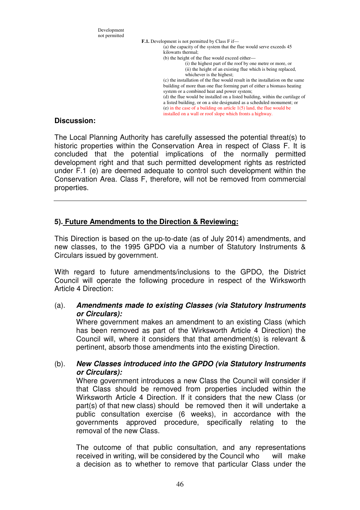Development not permitted

**F.1.** Development is not permitted by Class F if—

(a) the capacity of the system that the flue would serve exceeds 45 kilowatts thermal;

(b) the height of the flue would exceed either—

(i) the highest part of the roof by one metre or more, or (ii) the height of an existing flue which is being replaced, whichever is the highest;

(c) the installation of the flue would result in the installation on the same building of more than one flue forming part of either a biomass heating system or a combined heat and power system; (d) the flue would be installed on a listed building, within the curtilage of a listed building, or on a site designated as a scheduled monument; or

(e) in the case of a building on article 1(5) land, the flue would be installed on a wall or roof slope which fronts a highway.

#### **Discussion:**

The Local Planning Authority has carefully assessed the potential threat(s) to historic properties within the Conservation Area in respect of Class F. It is concluded that the potential implications of the normally permitted development right and that such permitted development rights as restricted under F.1 (e) are deemed adequate to control such development within the Conservation Area. Class F, therefore, will not be removed from commercial properties.

#### **5). Future Amendments to the Direction & Reviewing:**

This Direction is based on the up-to-date (as of July 2014) amendments, and new classes, to the 1995 GPDO via a number of Statutory Instruments & Circulars issued by government.

With regard to future amendments/inclusions to the GPDO, the District Council will operate the following procedure in respect of the Wirksworth Article 4 Direction:

#### (a). **Amendments made to existing Classes (via Statutory Instruments or Circulars):**

 Where government makes an amendment to an existing Class (which has been removed as part of the Wirksworth Article 4 Direction) the Council will, where it considers that that amendment(s) is relevant & pertinent, absorb those amendments into the existing Direction.

#### (b). **New Classes introduced into the GPDO (via Statutory Instruments or Circulars):**

Where government introduces a new Class the Council will consider if that Class should be removed from properties included within the Wirksworth Article 4 Direction. If it considers that the new Class (or part(s) of that new class) should be removed then it will undertake a public consultation exercise (6 weeks), in accordance with the governments approved procedure, specifically relating to the removal of the new Class.

 The outcome of that public consultation, and any representations received in writing, will be considered by the Council who will make a decision as to whether to remove that particular Class under the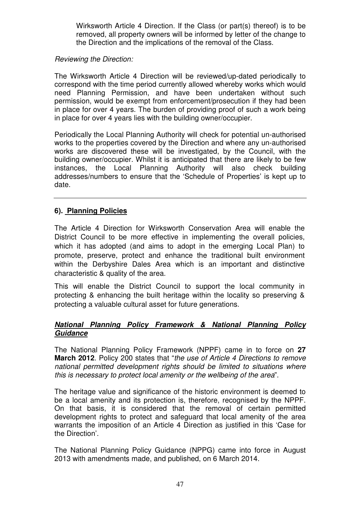Wirksworth Article 4 Direction. If the Class (or part(s) thereof) is to be removed, all property owners will be informed by letter of the change to the Direction and the implications of the removal of the Class.

#### Reviewing the Direction:

The Wirksworth Article 4 Direction will be reviewed/up-dated periodically to correspond with the time period currently allowed whereby works which would need Planning Permission, and have been undertaken without such permission, would be exempt from enforcement/prosecution if they had been in place for over 4 years. The burden of providing proof of such a work being in place for over 4 years lies with the building owner/occupier.

Periodically the Local Planning Authority will check for potential un-authorised works to the properties covered by the Direction and where any un-authorised works are discovered these will be investigated, by the Council, with the building owner/occupier. Whilst it is anticipated that there are likely to be few instances, the Local Planning Authority will also check building addresses/numbers to ensure that the 'Schedule of Properties' is kept up to date.

#### **6). Planning Policies**

The Article 4 Direction for Wirksworth Conservation Area will enable the District Council to be more effective in implementing the overall policies, which it has adopted (and aims to adopt in the emerging Local Plan) to promote, preserve, protect and enhance the traditional built environment within the Derbyshire Dales Area which is an important and distinctive characteristic & quality of the area.

This will enable the District Council to support the local community in protecting & enhancing the built heritage within the locality so preserving & protecting a valuable cultural asset for future generations.

#### **National Planning Policy Framework & National Planning Policy Guidance**

The National Planning Policy Framework (NPPF) came in to force on **27 March 2012**. Policy 200 states that "the use of Article 4 Directions to remove national permitted development rights should be limited to situations where this is necessary to protect local amenity or the wellbeing of the area".

The heritage value and significance of the historic environment is deemed to be a local amenity and its protection is, therefore, recognised by the NPPF. On that basis, it is considered that the removal of certain permitted development rights to protect and safeguard that local amenity of the area warrants the imposition of an Article 4 Direction as justified in this 'Case for the Direction'.

The National Planning Policy Guidance (NPPG) came into force in August 2013 with amendments made, and published, on 6 March 2014.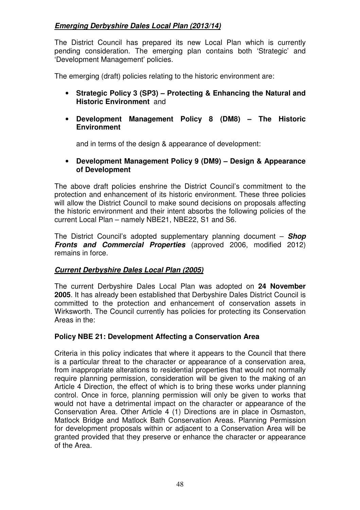#### **Emerging Derbyshire Dales Local Plan (2013/14)**

The District Council has prepared its new Local Plan which is currently pending consideration. The emerging plan contains both 'Strategic' and 'Development Management' policies.

The emerging (draft) policies relating to the historic environment are:

- **Strategic Policy 3 (SP3) Protecting & Enhancing the Natural and Historic Environment** and
- **Development Management Policy 8 (DM8) The Historic Environment**

and in terms of the design & appearance of development:

• **Development Management Policy 9 (DM9) – Design & Appearance of Development**

The above draft policies enshrine the District Council's commitment to the protection and enhancement of its historic environment. These three policies will allow the District Council to make sound decisions on proposals affecting the historic environment and their intent absorbs the following policies of the current Local Plan – namely NBE21, NBE22, S1 and S6.

The District Council's adopted supplementary planning document – **Shop Fronts and Commercial Properties** (approved 2006, modified 2012) remains in force.

#### **Current Derbyshire Dales Local Plan (2005)**

The current Derbyshire Dales Local Plan was adopted on **24 November 2005**. It has already been established that Derbyshire Dales District Council is committed to the protection and enhancement of conservation assets in Wirksworth. The Council currently has policies for protecting its Conservation Areas in the:

#### **Policy NBE 21: Development Affecting a Conservation Area**

Criteria in this policy indicates that where it appears to the Council that there is a particular threat to the character or appearance of a conservation area, from inappropriate alterations to residential properties that would not normally require planning permission, consideration will be given to the making of an Article 4 Direction, the effect of which is to bring these works under planning control. Once in force, planning permission will only be given to works that would not have a detrimental impact on the character or appearance of the Conservation Area. Other Article 4 (1) Directions are in place in Osmaston, Matlock Bridge and Matlock Bath Conservation Areas. Planning Permission for development proposals within or adjacent to a Conservation Area will be granted provided that they preserve or enhance the character or appearance of the Area.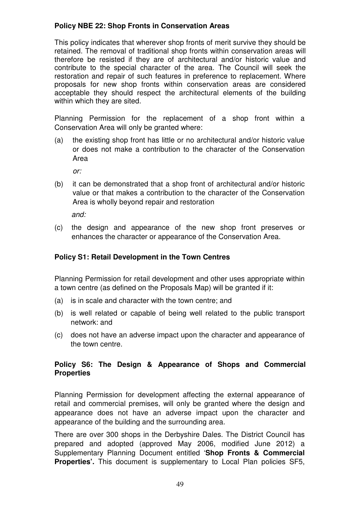#### **Policy NBE 22: Shop Fronts in Conservation Areas**

This policy indicates that wherever shop fronts of merit survive they should be retained. The removal of traditional shop fronts within conservation areas will therefore be resisted if they are of architectural and/or historic value and contribute to the special character of the area. The Council will seek the restoration and repair of such features in preference to replacement. Where proposals for new shop fronts within conservation areas are considered acceptable they should respect the architectural elements of the building within which they are sited.

Planning Permission for the replacement of a shop front within a Conservation Area will only be granted where:

(a) the existing shop front has little or no architectural and/or historic value or does not make a contribution to the character of the Conservation Area

or:

(b) it can be demonstrated that a shop front of architectural and/or historic value or that makes a contribution to the character of the Conservation Area is wholly beyond repair and restoration

and:

(c) the design and appearance of the new shop front preserves or enhances the character or appearance of the Conservation Area.

#### **Policy S1: Retail Development in the Town Centres**

Planning Permission for retail development and other uses appropriate within a town centre (as defined on the Proposals Map) will be granted if it:

- (a) is in scale and character with the town centre; and
- (b) is well related or capable of being well related to the public transport network: and
- (c) does not have an adverse impact upon the character and appearance of the town centre.

#### **Policy S6: The Design & Appearance of Shops and Commercial Properties**

Planning Permission for development affecting the external appearance of retail and commercial premises, will only be granted where the design and appearance does not have an adverse impact upon the character and appearance of the building and the surrounding area.

There are over 300 shops in the Derbyshire Dales. The District Council has prepared and adopted (approved May 2006, modified June 2012) a Supplementary Planning Document entitled '**Shop Fronts & Commercial Properties'.** This document is supplementary to Local Plan policies SF5,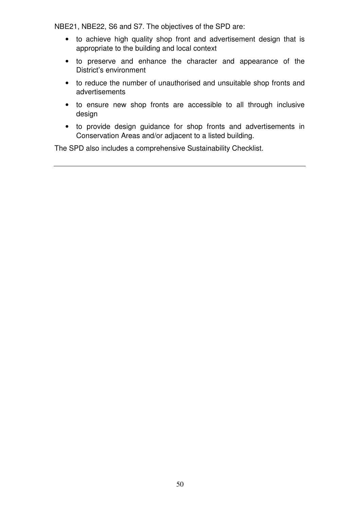NBE21, NBE22, S6 and S7. The objectives of the SPD are:

- to achieve high quality shop front and advertisement design that is appropriate to the building and local context
- to preserve and enhance the character and appearance of the District's environment
- to reduce the number of unauthorised and unsuitable shop fronts and advertisements
- to ensure new shop fronts are accessible to all through inclusive design
- to provide design guidance for shop fronts and advertisements in Conservation Areas and/or adjacent to a listed building.

The SPD also includes a comprehensive Sustainability Checklist.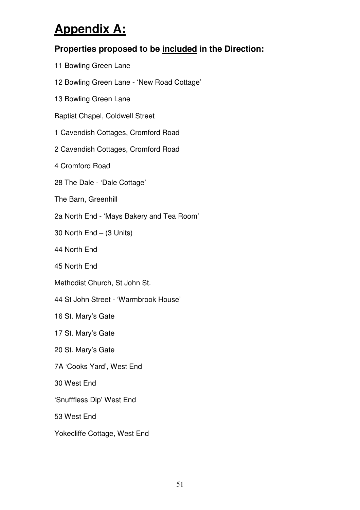# **Appendix A:**

## **Properties proposed to be included in the Direction:**

| 11 Bowling Green Lane                      |
|--------------------------------------------|
| 12 Bowling Green Lane - 'New Road Cottage' |
| 13 Bowling Green Lane                      |
| <b>Baptist Chapel, Coldwell Street</b>     |
| 1 Cavendish Cottages, Cromford Road        |
| 2 Cavendish Cottages, Cromford Road        |
| 4 Cromford Road                            |
| 28 The Dale - 'Dale Cottage'               |
| The Barn, Greenhill                        |
| 2a North End - 'Mays Bakery and Tea Room'  |
| 30 North End - (3 Units)                   |
| 44 North End                               |
| 45 North End                               |
| Methodist Church, St John St.              |
| 44 St John Street - 'Warmbrook House'      |
| 16 St. Mary's Gate                         |
| 17 St. Mary's Gate                         |
| 20 St. Mary's Gate                         |
| 7A 'Cooks Yard', West End                  |
| 30 West End                                |
| 'Snufffless Dip' West End                  |
| 53 West End                                |
| Yokecliffe Cottage, West End               |